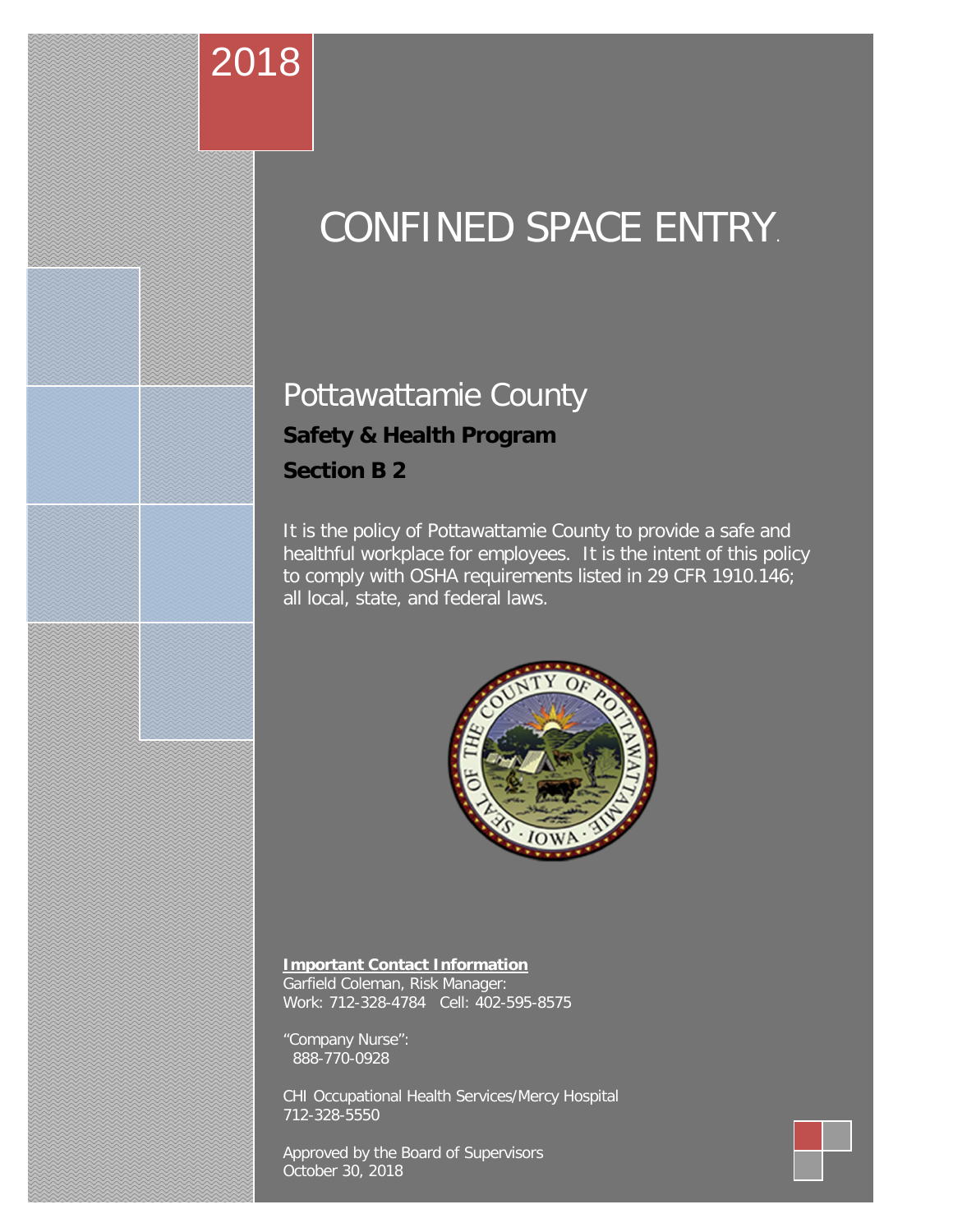# CONFINED SPACE ENTRY.

# Pottawattamie County **Safety & Health Program Section B 2**

2018

It is the policy of Pottawattamie County to provide a safe and healthful workplace for employees. It is the intent of this policy to comply with OSHA requirements listed in 29 CFR 1910.146; all local, state, and federal laws.



#### **Important Contact Information**

Garfield Coleman, Risk Manager: Work: 712-328-4784 Cell: 402-595-8575

"Company Nurse": 888-770-0928

CHI Occupational Health Services/Mercy Hospital 712-328-5550

Approved by the Board of Supervisors October 30, 2018

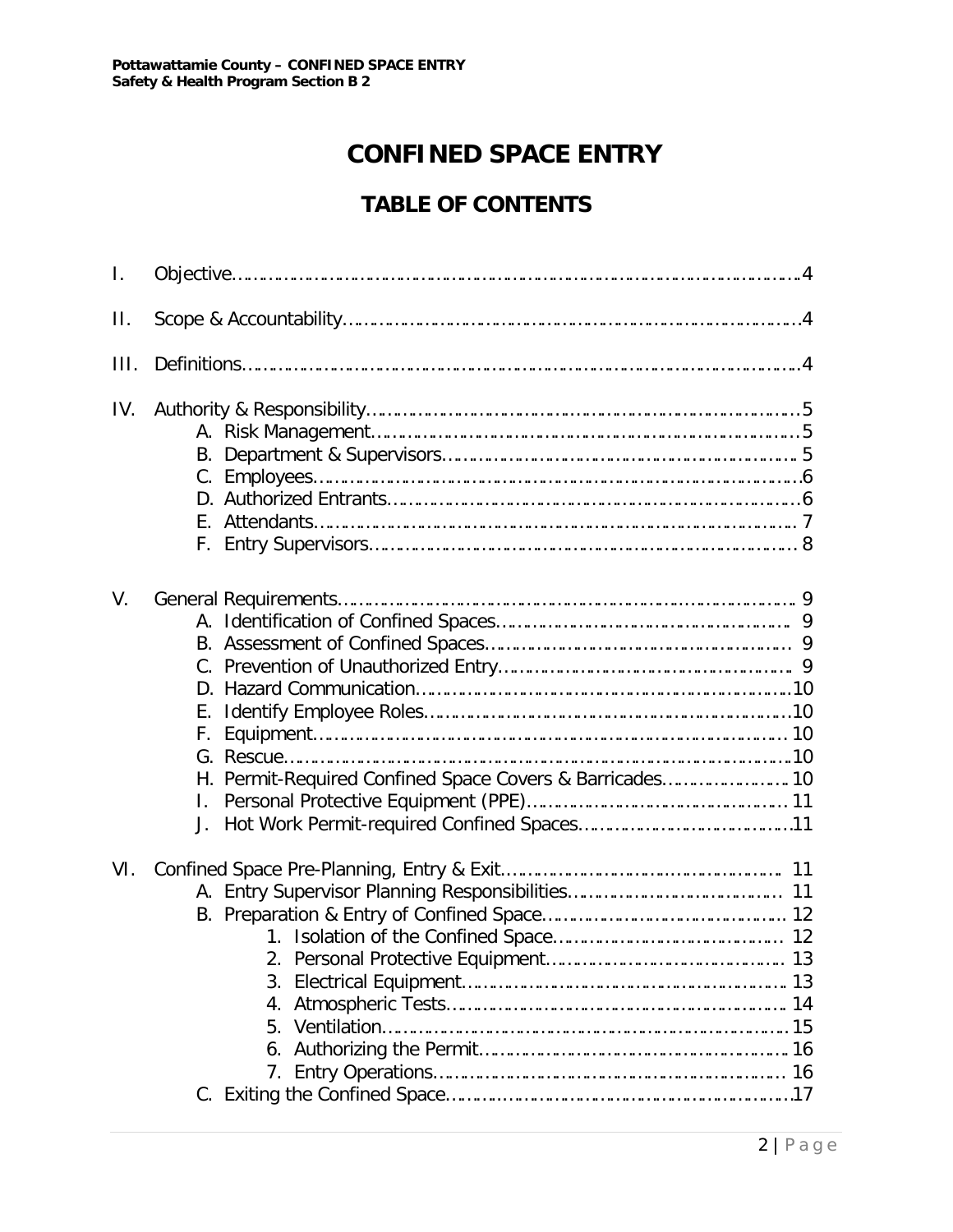# **CONFINED SPACE ENTRY**

# **TABLE OF CONTENTS**

| $\mathbf{I}$ . |                                                                      |
|----------------|----------------------------------------------------------------------|
| П.             |                                                                      |
| III.           |                                                                      |
| IV.            |                                                                      |
| V.             | Е.<br>F.<br>H. Permit-Required Confined Space Covers & Barricades 10 |
| VI.            |                                                                      |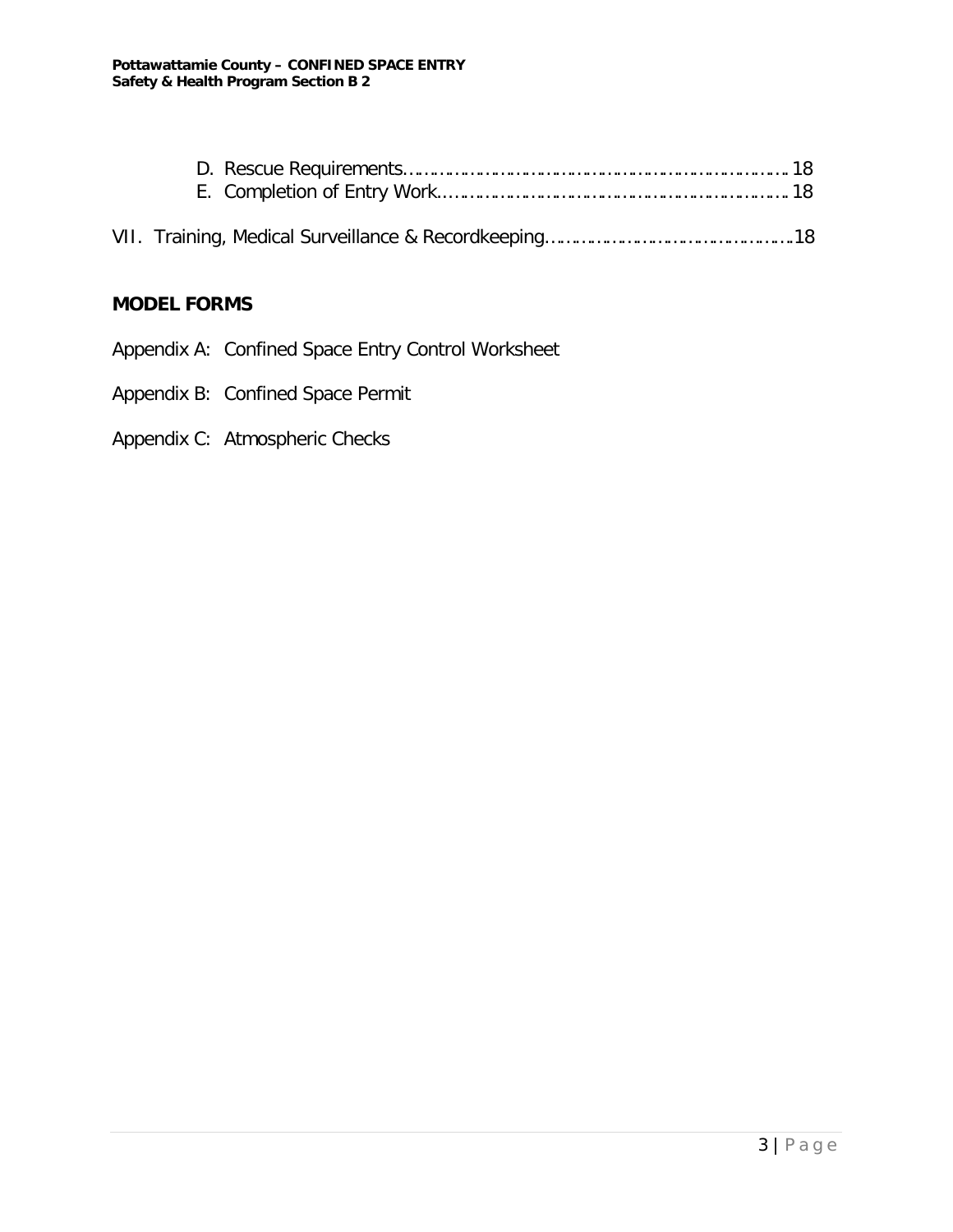# **MODEL FORMS**

- Appendix A: Confined Space Entry Control Worksheet
- Appendix B: Confined Space Permit
- Appendix C: Atmospheric Checks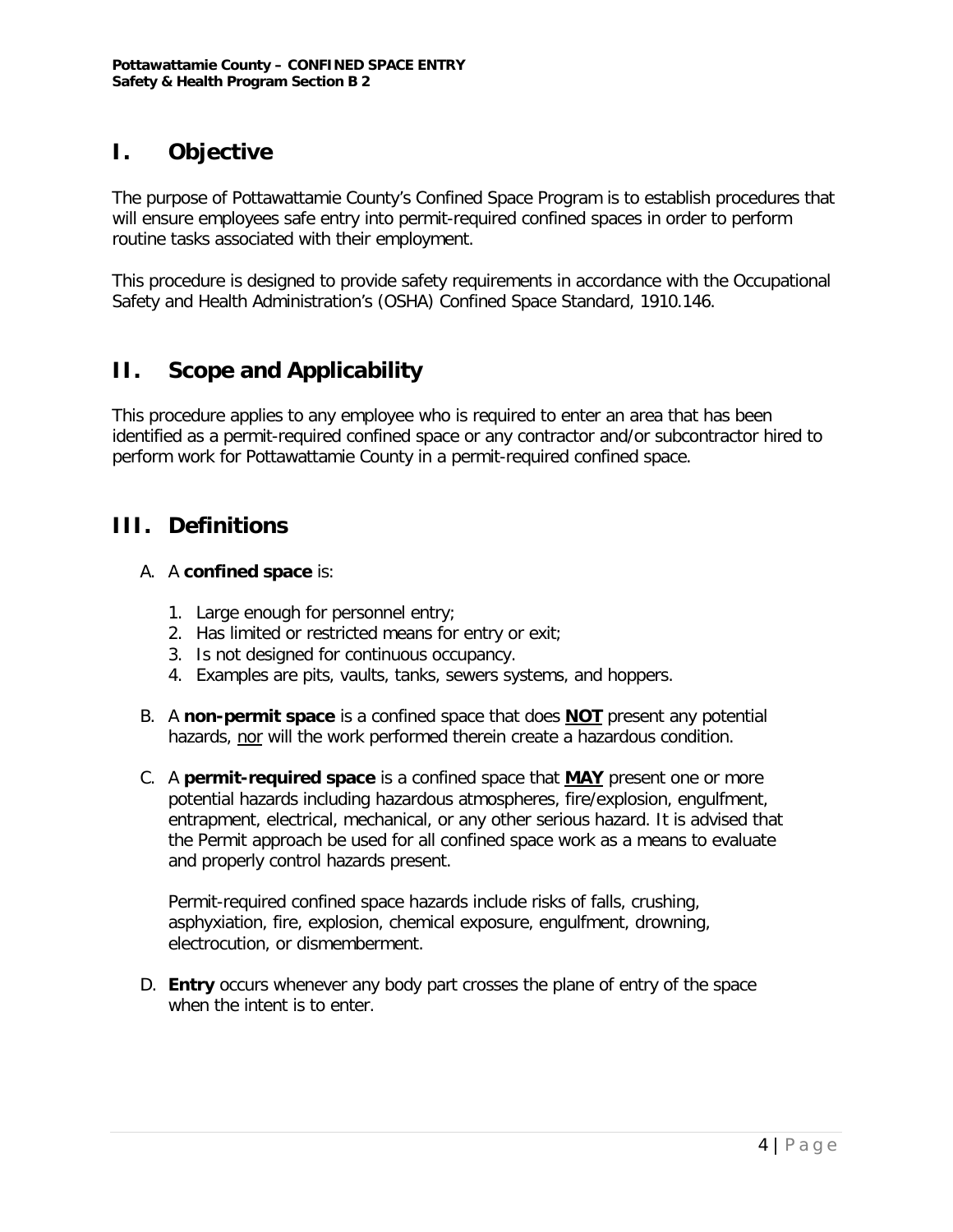# **I. Objective**

The purpose of Pottawattamie County's Confined Space Program is to establish procedures that will ensure employees safe entry into permit-required confined spaces in order to perform routine tasks associated with their employment.

This procedure is designed to provide safety requirements in accordance with the Occupational Safety and Health Administration's (OSHA) Confined Space Standard, 1910.146.

# **II. Scope and Applicability**

This procedure applies to any employee who is required to enter an area that has been identified as a permit-required confined space or any contractor and/or subcontractor hired to perform work for Pottawattamie County in a permit-required confined space.

# **III. Definitions**

#### A. A **confined space** is:

- 1. Large enough for personnel entry;
- 2. Has limited or restricted means for entry or exit;
- 3. Is not designed for continuous occupancy.
- 4. Examples are pits, vaults, tanks, sewers systems, and hoppers.
- B. A **non-permit space** is a confined space that does **NOT** present any potential hazards, nor will the work performed therein create a hazardous condition.
- C. A **permit-required space** is a confined space that **MAY** present one or more potential hazards including hazardous atmospheres, fire/explosion, engulfment, entrapment, electrical, mechanical, or any other serious hazard. It is advised that the Permit approach be used for all confined space work as a means to evaluate and properly control hazards present.

Permit-required confined space hazards include risks of falls, crushing, asphyxiation, fire, explosion, chemical exposure, engulfment, drowning, electrocution, or dismemberment.

D. **Entry** occurs whenever any body part crosses the plane of entry of the space when the intent is to enter.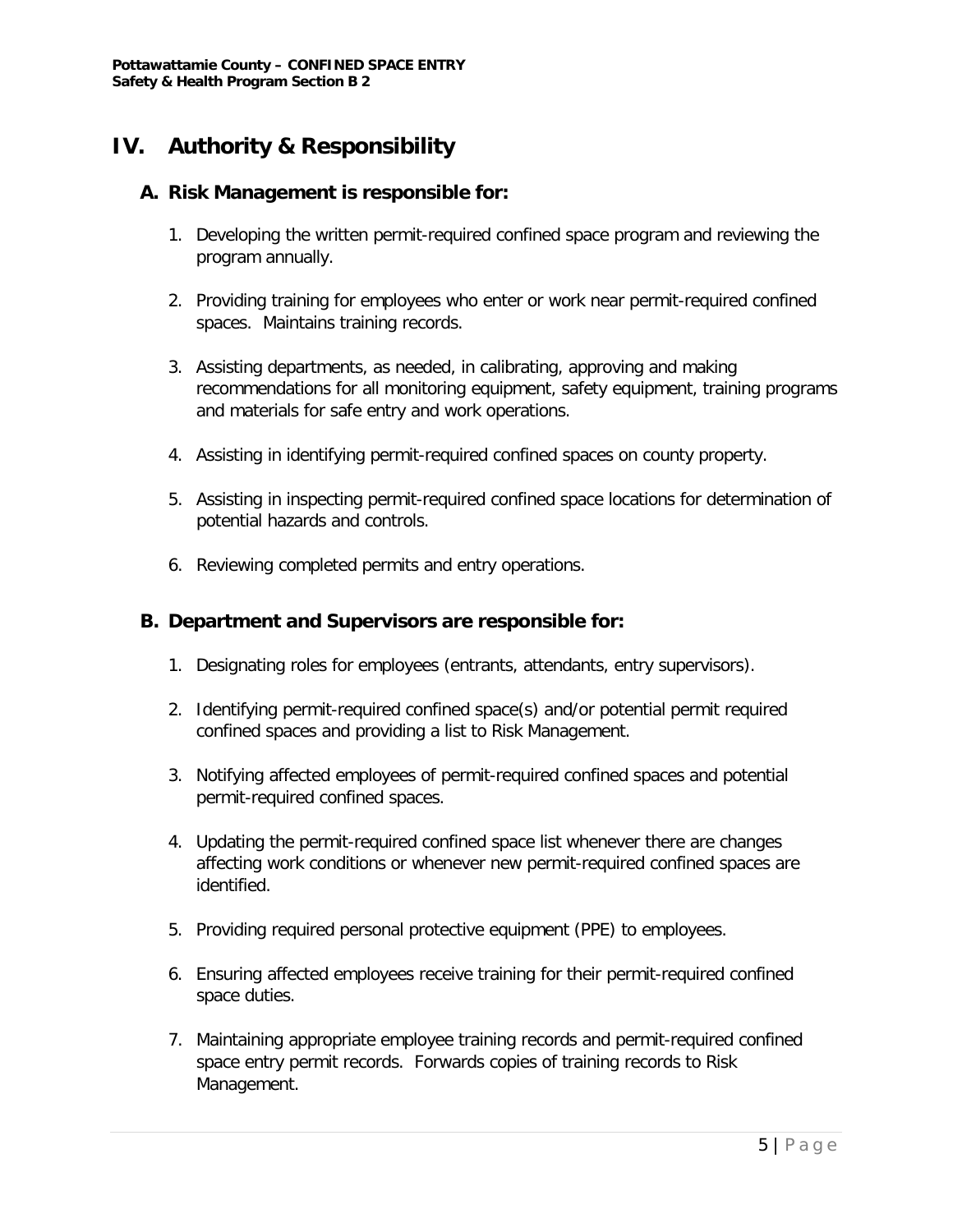# **IV. Authority & Responsibility**

#### **A. Risk Management is responsible for:**

- 1. Developing the written permit-required confined space program and reviewing the program annually.
- 2. Providing training for employees who enter or work near permit-required confined spaces. Maintains training records.
- 3. Assisting departments, as needed, in calibrating, approving and making recommendations for all monitoring equipment, safety equipment, training programs and materials for safe entry and work operations.
- 4. Assisting in identifying permit-required confined spaces on county property.
- 5. Assisting in inspecting permit-required confined space locations for determination of potential hazards and controls.
- 6. Reviewing completed permits and entry operations.

#### **B. Department and Supervisors are responsible for:**

- 1. Designating roles for employees (entrants, attendants, entry supervisors).
- 2. Identifying permit-required confined space(s) and/or potential permit required confined spaces and providing a list to Risk Management.
- 3. Notifying affected employees of permit-required confined spaces and potential permit-required confined spaces.
- 4. Updating the permit-required confined space list whenever there are changes affecting work conditions or whenever new permit-required confined spaces are identified.
- 5. Providing required personal protective equipment (PPE) to employees.
- 6. Ensuring affected employees receive training for their permit-required confined space duties.
- 7. Maintaining appropriate employee training records and permit-required confined space entry permit records. Forwards copies of training records to Risk Management.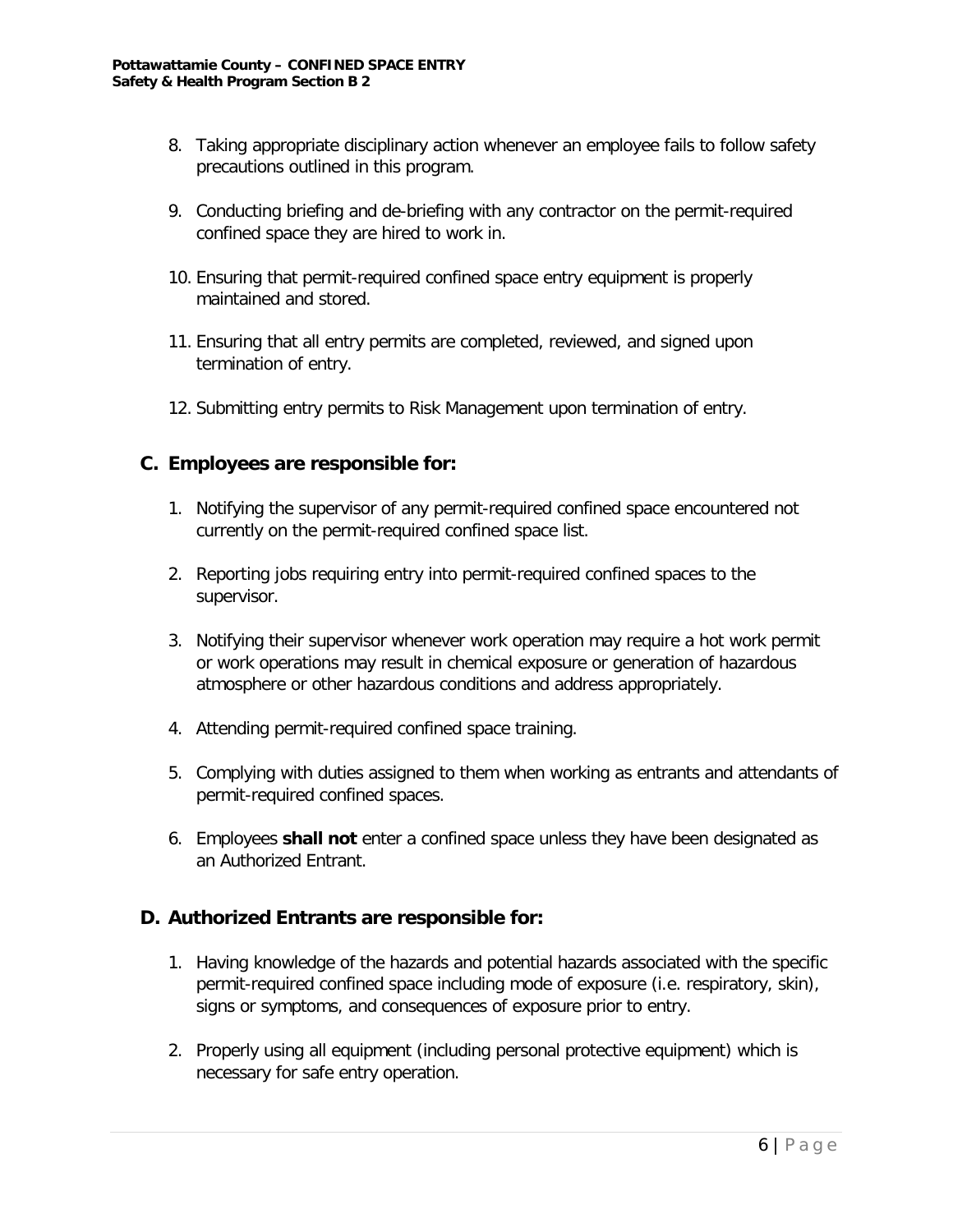- 8. Taking appropriate disciplinary action whenever an employee fails to follow safety precautions outlined in this program.
- 9. Conducting briefing and de-briefing with any contractor on the permit-required confined space they are hired to work in.
- 10. Ensuring that permit-required confined space entry equipment is properly maintained and stored.
- 11. Ensuring that all entry permits are completed, reviewed, and signed upon termination of entry.
- 12. Submitting entry permits to Risk Management upon termination of entry.

#### **C. Employees are responsible for:**

- 1. Notifying the supervisor of any permit-required confined space encountered not currently on the permit-required confined space list.
- 2. Reporting jobs requiring entry into permit-required confined spaces to the supervisor.
- 3. Notifying their supervisor whenever work operation may require a hot work permit or work operations may result in chemical exposure or generation of hazardous atmosphere or other hazardous conditions and address appropriately.
- 4. Attending permit-required confined space training.
- 5. Complying with duties assigned to them when working as entrants and attendants of permit-required confined spaces.
- 6. Employees **shall not** enter a confined space unless they have been designated as an Authorized Entrant.

#### **D. Authorized Entrants are responsible for:**

- 1. Having knowledge of the hazards and potential hazards associated with the specific permit-required confined space including mode of exposure (i.e. respiratory, skin), signs or symptoms, and consequences of exposure prior to entry.
- 2. Properly using all equipment (including personal protective equipment) which is necessary for safe entry operation.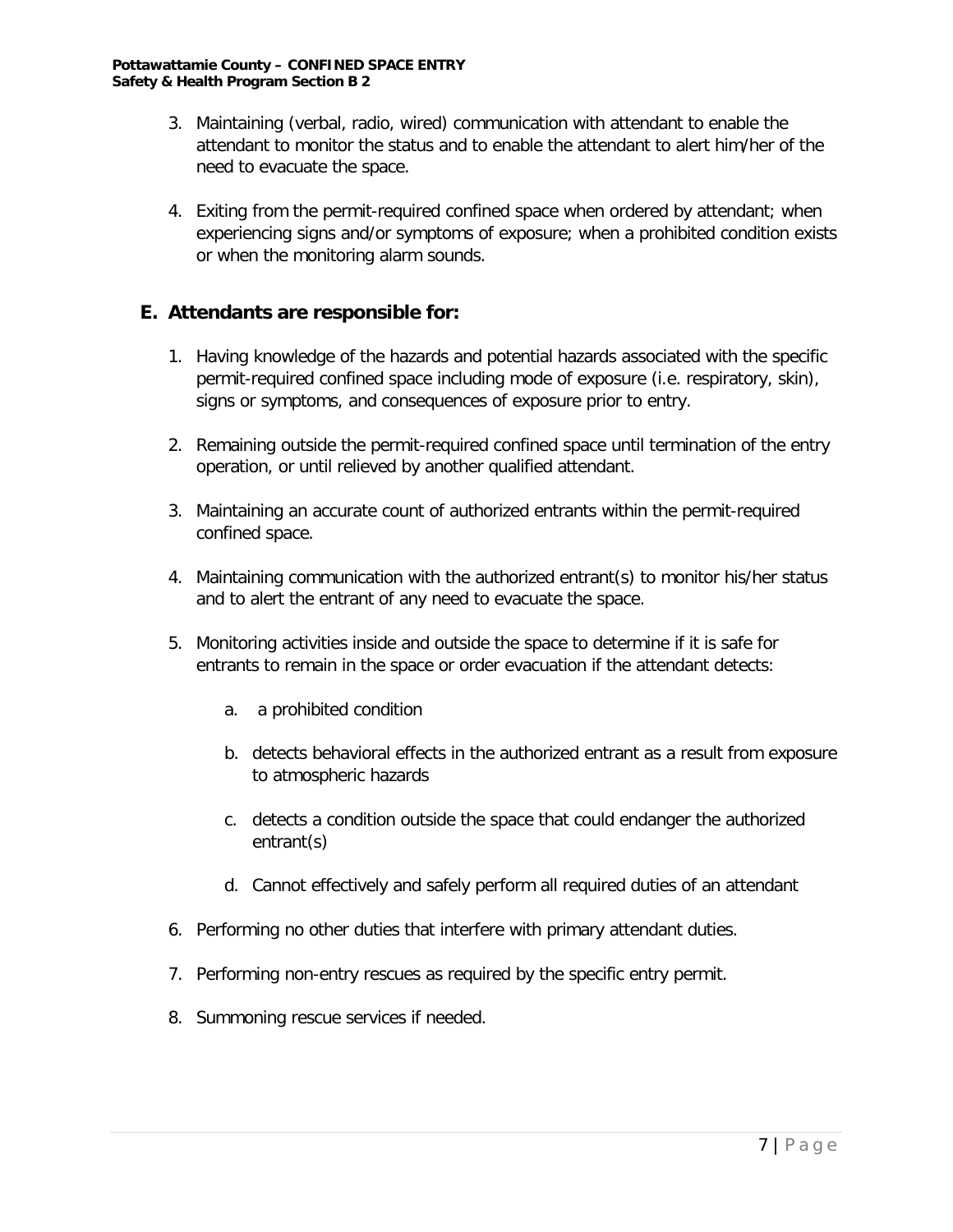- 3. Maintaining (verbal, radio, wired) communication with attendant to enable the attendant to monitor the status and to enable the attendant to alert him/her of the need to evacuate the space.
- 4. Exiting from the permit-required confined space when ordered by attendant; when experiencing signs and/or symptoms of exposure; when a prohibited condition exists or when the monitoring alarm sounds.

### **E. Attendants are responsible for:**

- 1. Having knowledge of the hazards and potential hazards associated with the specific permit-required confined space including mode of exposure (i.e. respiratory, skin), signs or symptoms, and consequences of exposure prior to entry.
- 2. Remaining outside the permit-required confined space until termination of the entry operation, or until relieved by another qualified attendant.
- 3. Maintaining an accurate count of authorized entrants within the permit-required confined space.
- 4. Maintaining communication with the authorized entrant(s) to monitor his/her status and to alert the entrant of any need to evacuate the space.
- 5. Monitoring activities inside and outside the space to determine if it is safe for entrants to remain in the space or order evacuation if the attendant detects:
	- a. a prohibited condition
	- b. detects behavioral effects in the authorized entrant as a result from exposure to atmospheric hazards
	- c. detects a condition outside the space that could endanger the authorized entrant(s)
	- d. Cannot effectively and safely perform all required duties of an attendant
- 6. Performing no other duties that interfere with primary attendant duties.
- 7. Performing non-entry rescues as required by the specific entry permit.
- 8. Summoning rescue services if needed.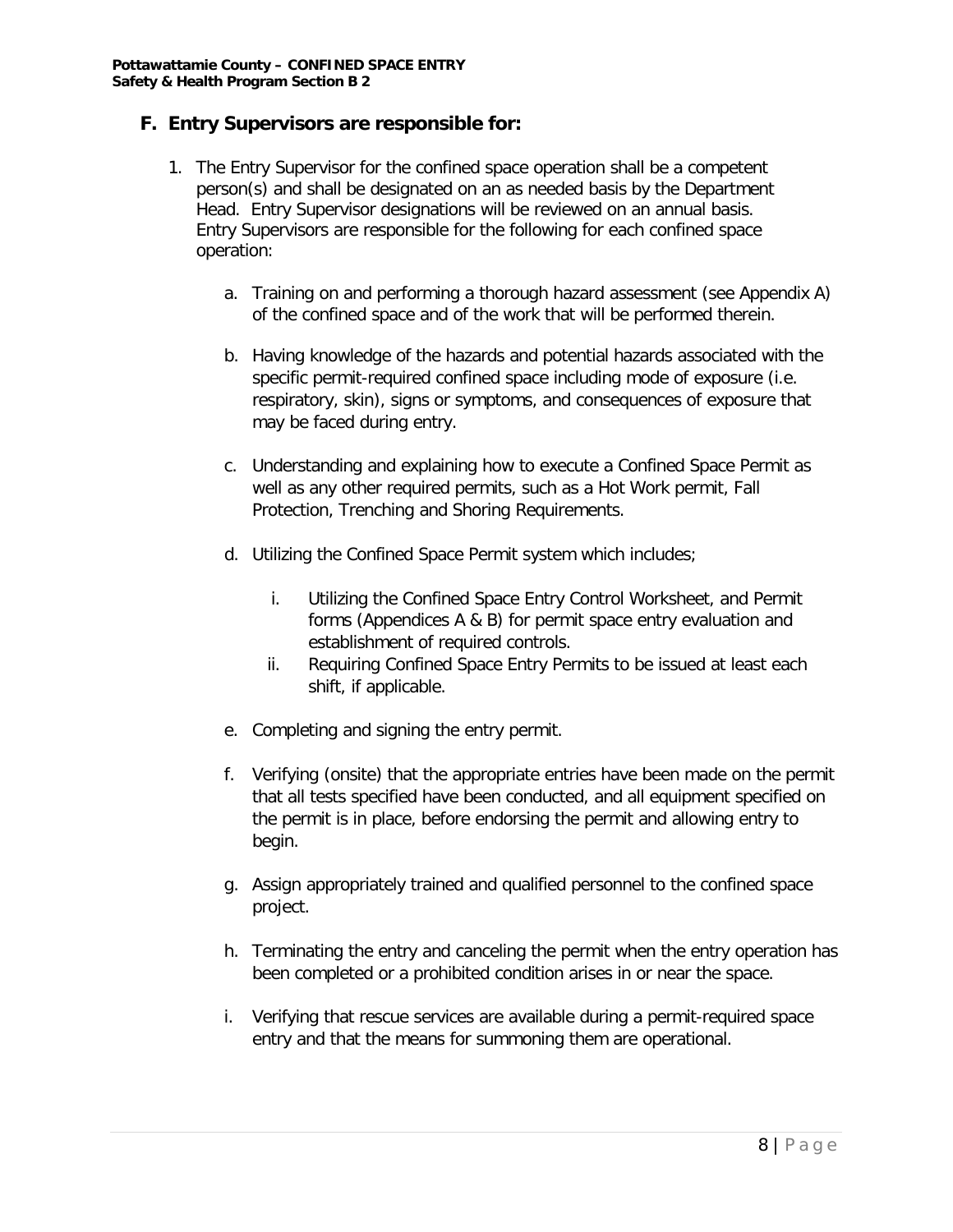#### **F. Entry Supervisors are responsible for:**

- 1. The Entry Supervisor for the confined space operation shall be a competent person(s) and shall be designated on an as needed basis by the Department Head. Entry Supervisor designations will be reviewed on an annual basis. Entry Supervisors are responsible for the following for each confined space operation:
	- a. Training on and performing a thorough hazard assessment (see Appendix A) of the confined space and of the work that will be performed therein.
	- b. Having knowledge of the hazards and potential hazards associated with the specific permit-required confined space including mode of exposure (i.e. respiratory, skin), signs or symptoms, and consequences of exposure that may be faced during entry.
	- c. Understanding and explaining how to execute a Confined Space Permit as well as any other required permits, such as a Hot Work permit, Fall Protection, Trenching and Shoring Requirements.
	- d. Utilizing the Confined Space Permit system which includes;
		- i. Utilizing the Confined Space Entry Control Worksheet, and Permit forms (Appendices A & B) for permit space entry evaluation and establishment of required controls.
		- ii. Requiring Confined Space Entry Permits to be issued at least each shift, if applicable.
	- e. Completing and signing the entry permit.
	- f. Verifying (onsite) that the appropriate entries have been made on the permit that all tests specified have been conducted, and all equipment specified on the permit is in place, before endorsing the permit and allowing entry to begin.
	- g. Assign appropriately trained and qualified personnel to the confined space project.
	- h. Terminating the entry and canceling the permit when the entry operation has been completed or a prohibited condition arises in or near the space.
	- i. Verifying that rescue services are available during a permit-required space entry and that the means for summoning them are operational.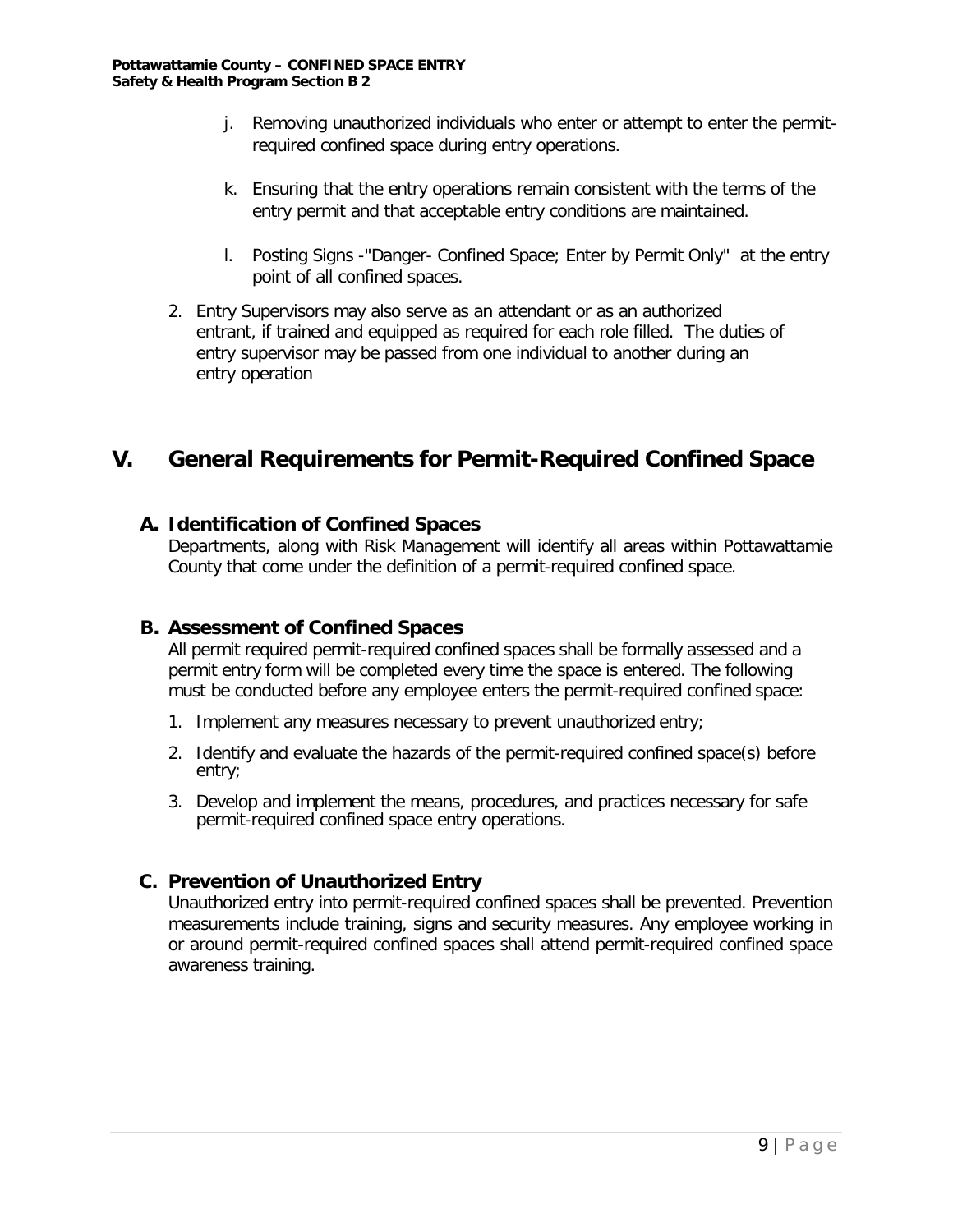- j. Removing unauthorized individuals who enter or attempt to enter the permitrequired confined space during entry operations.
- k. Ensuring that the entry operations remain consistent with the terms of the entry permit and that acceptable entry conditions are maintained.
- l. Posting Signs -"Danger- Confined Space; Enter by Permit Only" at the entry point of all confined spaces.
- 2. Entry Supervisors may also serve as an attendant or as an authorized entrant, if trained and equipped as required for each role filled. The duties of entry supervisor may be passed from one individual to another during an entry operation

# **V. General Requirements for Permit-Required Confined Space**

## **A. Identification of Confined Spaces**

Departments, along with Risk Management will identify all areas within Pottawattamie County that come under the definition of a permit-required confined space.

## **B. Assessment of Confined Spaces**

All permit required permit-required confined spaces shall be formally assessed and a permit entry form will be completed every time the space is entered. The following must be conducted before any employee enters the permit-required confined space:

- 1. Implement any measures necessary to prevent unauthorized entry;
- 2. Identify and evaluate the hazards of the permit-required confined space(s) before entry;
- 3. Develop and implement the means, procedures, and practices necessary for safe permit-required confined space entry operations.

## **C. Prevention of Unauthorized Entry**

Unauthorized entry into permit-required confined spaces shall be prevented. Prevention measurements include training, signs and security measures. Any employee working in or around permit-required confined spaces shall attend permit-required confined space awareness training.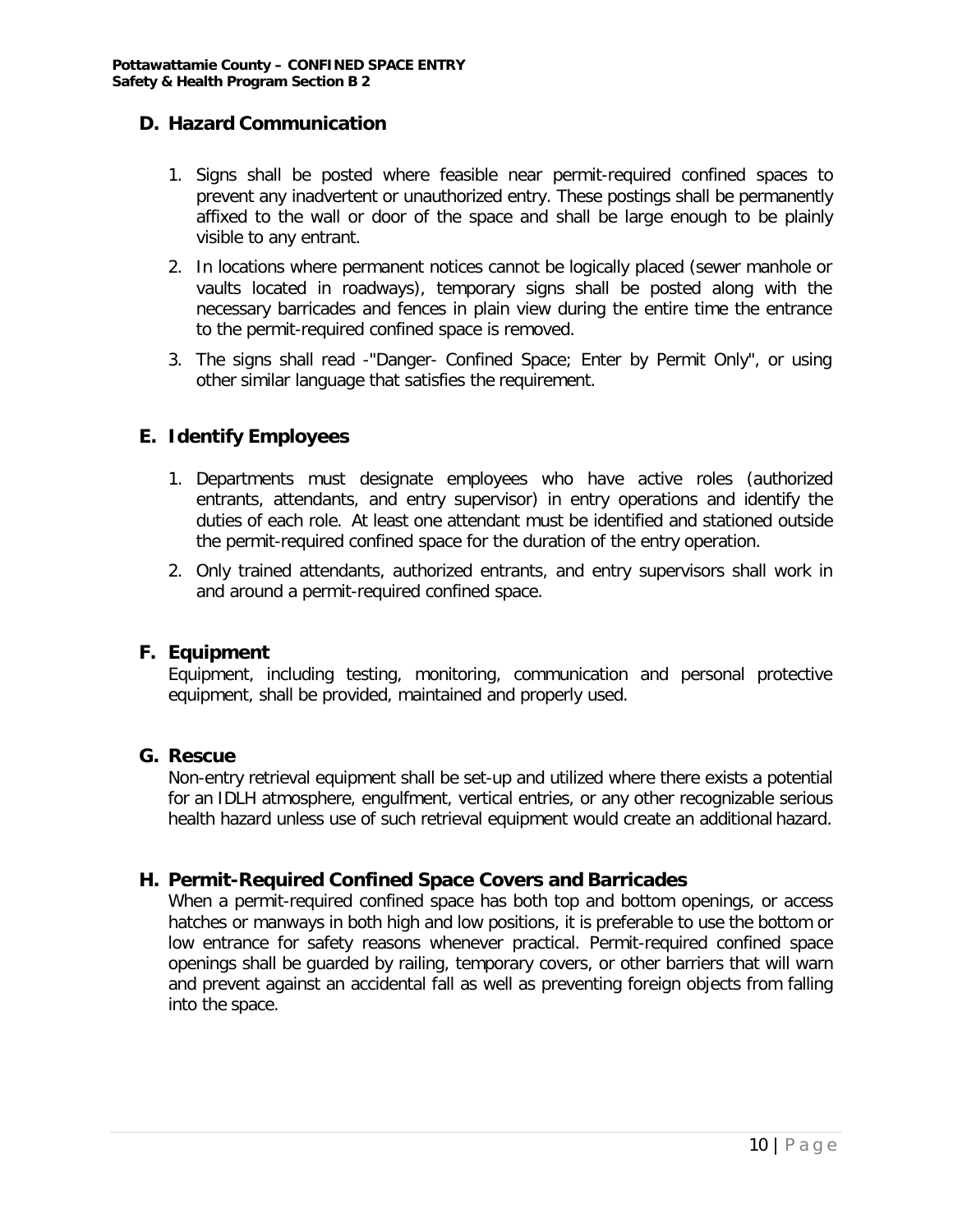### **D. Hazard Communication**

- 1. Signs shall be posted where feasible near permit-required confined spaces to prevent any inadvertent or unauthorized entry. These postings shall be permanently affixed to the wall or door of the space and shall be large enough to be plainly visible to any entrant.
- 2. In locations where permanent notices cannot be logically placed (sewer manhole or vaults located in roadways), temporary signs shall be posted along with the necessary barricades and fences in plain view during the entire time the entrance to the permit-required confined space is removed.
- 3. The signs shall read -"Danger- Confined Space; Enter by Permit Only", or using other similar language that satisfies the requirement.

### **E. Identify Employees**

- 1. Departments must designate employees who have active roles (authorized entrants, attendants, and entry supervisor) in entry operations and identify the duties of each role. At least one attendant must be identified and stationed outside the permit-required confined space for the duration of the entry operation.
- 2. Only trained attendants, authorized entrants, and entry supervisors shall work in and around a permit-required confined space.

#### **F. Equipment**

Equipment, including testing, monitoring, communication and personal protective equipment, shall be provided, maintained and properly used.

#### **G. Rescue**

Non-entry retrieval equipment shall be set-up and utilized where there exists a potential for an IDLH atmosphere, engulfment, vertical entries, or any other recognizable serious health hazard unless use of such retrieval equipment would create an additional hazard.

#### **H. Permit-Required Confined Space Covers and Barricades**

When a permit-required confined space has both top and bottom openings, or access hatches or manways in both high and low positions, it is preferable to use the bottom or low entrance for safety reasons whenever practical. Permit-required confined space openings shall be guarded by railing, temporary covers, or other barriers that will warn and prevent against an accidental fall as well as preventing foreign objects from falling into the space.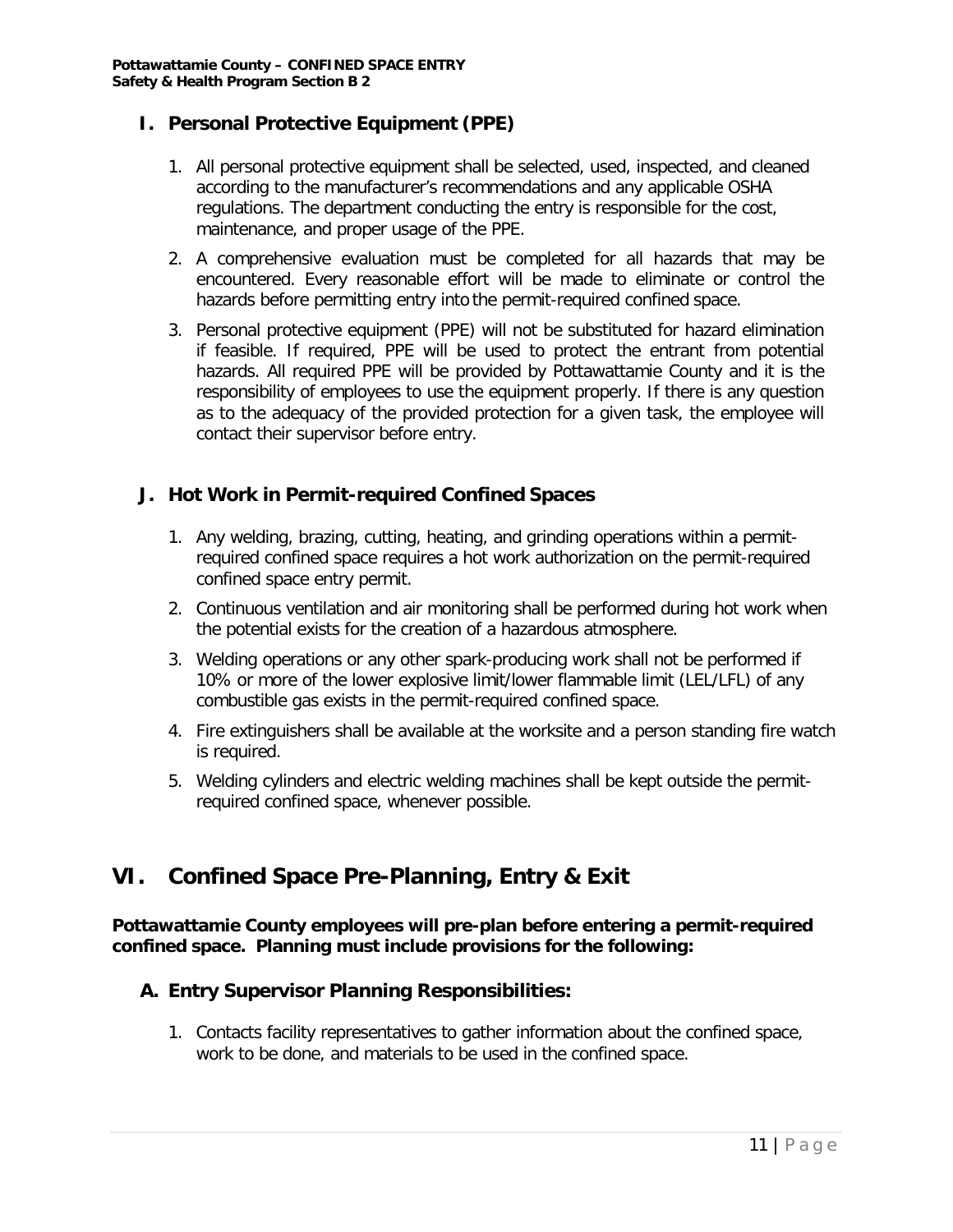### **I. Personal Protective Equipment (PPE)**

- 1. All personal protective equipment shall be selected, used, inspected, and cleaned according to the manufacturer's recommendations and any applicable OSHA regulations. The department conducting the entry is responsible for the cost, maintenance, and proper usage of the PPE.
- 2. A comprehensive evaluation must be completed for all hazards that may be encountered. Every reasonable effort will be made to eliminate or control the hazards before permitting entry into the permit-required confined space.
- 3. Personal protective equipment (PPE) will not be substituted for hazard elimination if feasible. If required, PPE will be used to protect the entrant from potential hazards. All required PPE will be provided by Pottawattamie County and it is the responsibility of employees to use the equipment properly. If there is any question as to the adequacy of the provided protection for a given task, the employee will contact their supervisor before entry.

### **J. Hot Work in Permit-required Confined Spaces**

- 1. Any welding, brazing, cutting, heating, and grinding operations within a permitrequired confined space requires a hot work authorization on the permit-required confined space entry permit.
- 2. Continuous ventilation and air monitoring shall be performed during hot work when the potential exists for the creation of a hazardous atmosphere.
- 3. Welding operations or any other spark-producing work shall not be performed if 10% or more of the lower explosive limit/lower flammable limit (LEL/LFL) of any combustible gas exists in the permit-required confined space.
- 4. Fire extinguishers shall be available at the worksite and a person standing fire watch is required.
- 5. Welding cylinders and electric welding machines shall be kept outside the permitrequired confined space, whenever possible.

# **VI. Confined Space Pre-Planning, Entry & Exit**

#### **Pottawattamie County employees will pre-plan before entering a permit-required confined space. Planning must include provisions for the following:**

#### **A. Entry Supervisor Planning Responsibilities:**

1. Contacts facility representatives to gather information about the confined space, work to be done, and materials to be used in the confined space.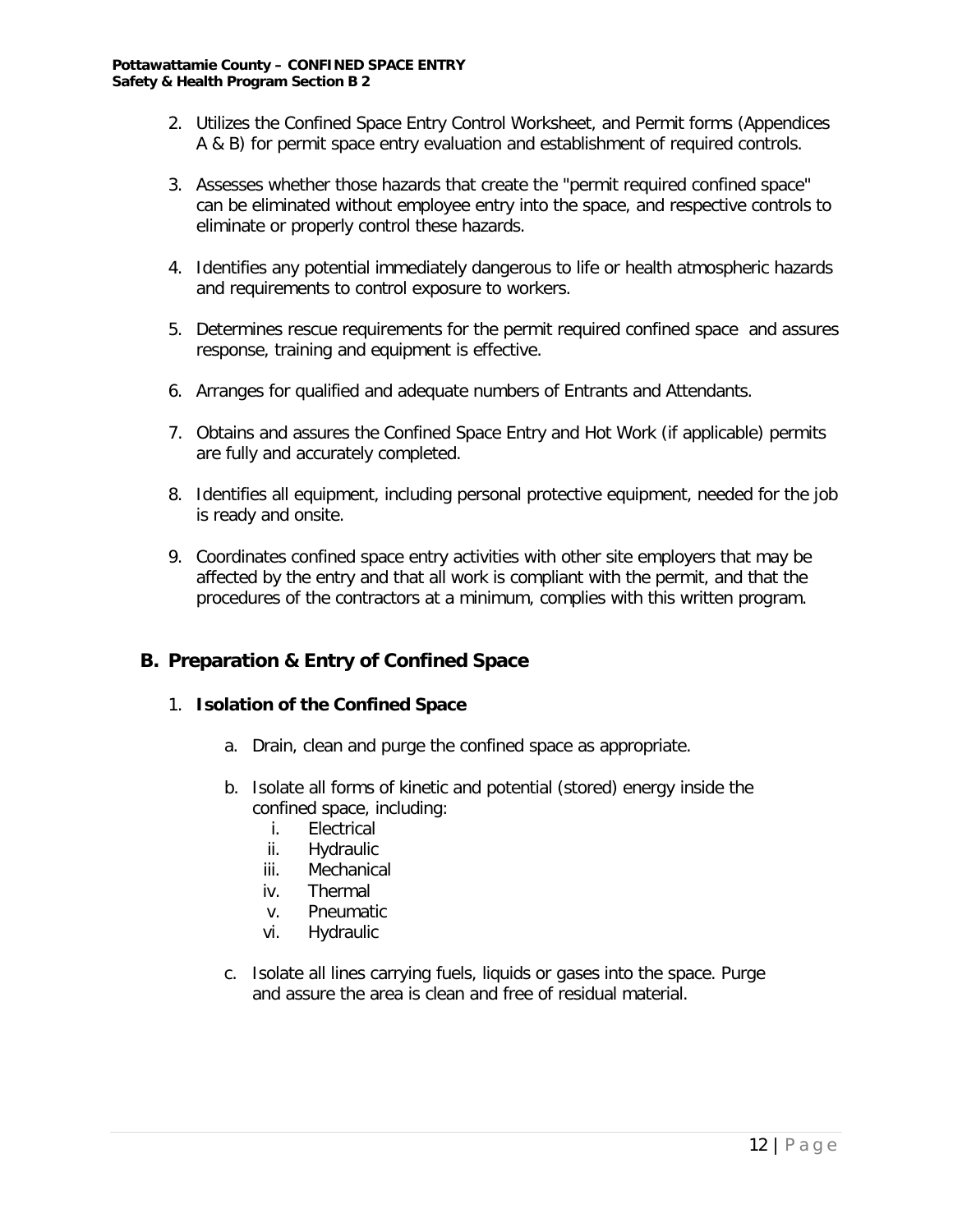- 2. Utilizes the Confined Space Entry Control Worksheet, and Permit forms (Appendices A & B) for permit space entry evaluation and establishment of required controls.
- 3. Assesses whether those hazards that create the "permit required confined space" can be eliminated without employee entry into the space, and respective controls to eliminate or properly control these hazards.
- 4. Identifies any potential immediately dangerous to life or health atmospheric hazards and requirements to control exposure to workers.
- 5. Determines rescue requirements for the permit required confined space and assures response, training and equipment is effective.
- 6. Arranges for qualified and adequate numbers of Entrants and Attendants.
- 7. Obtains and assures the Confined Space Entry and Hot Work (if applicable) permits are fully and accurately completed.
- 8. Identifies all equipment, including personal protective equipment, needed for the job is ready and onsite.
- 9. Coordinates confined space entry activities with other site employers that may be affected by the entry and that all work is compliant with the permit, and that the procedures of the contractors at a minimum, complies with this written program.

## **B. Preparation & Entry of Confined Space**

#### 1. **Isolation of the Confined Space**

- a. Drain, clean and purge the confined space as appropriate.
- b. Isolate all forms of kinetic and potential (stored) energy inside the confined space, including:
	- i. Electrical
	- ii. Hydraulic
	- iii. Mechanical
	- iv. Thermal
	- v. Pneumatic
	- vi. Hydraulic
- c. Isolate all lines carrying fuels, liquids or gases into the space. Purge and assure the area is clean and free of residual material.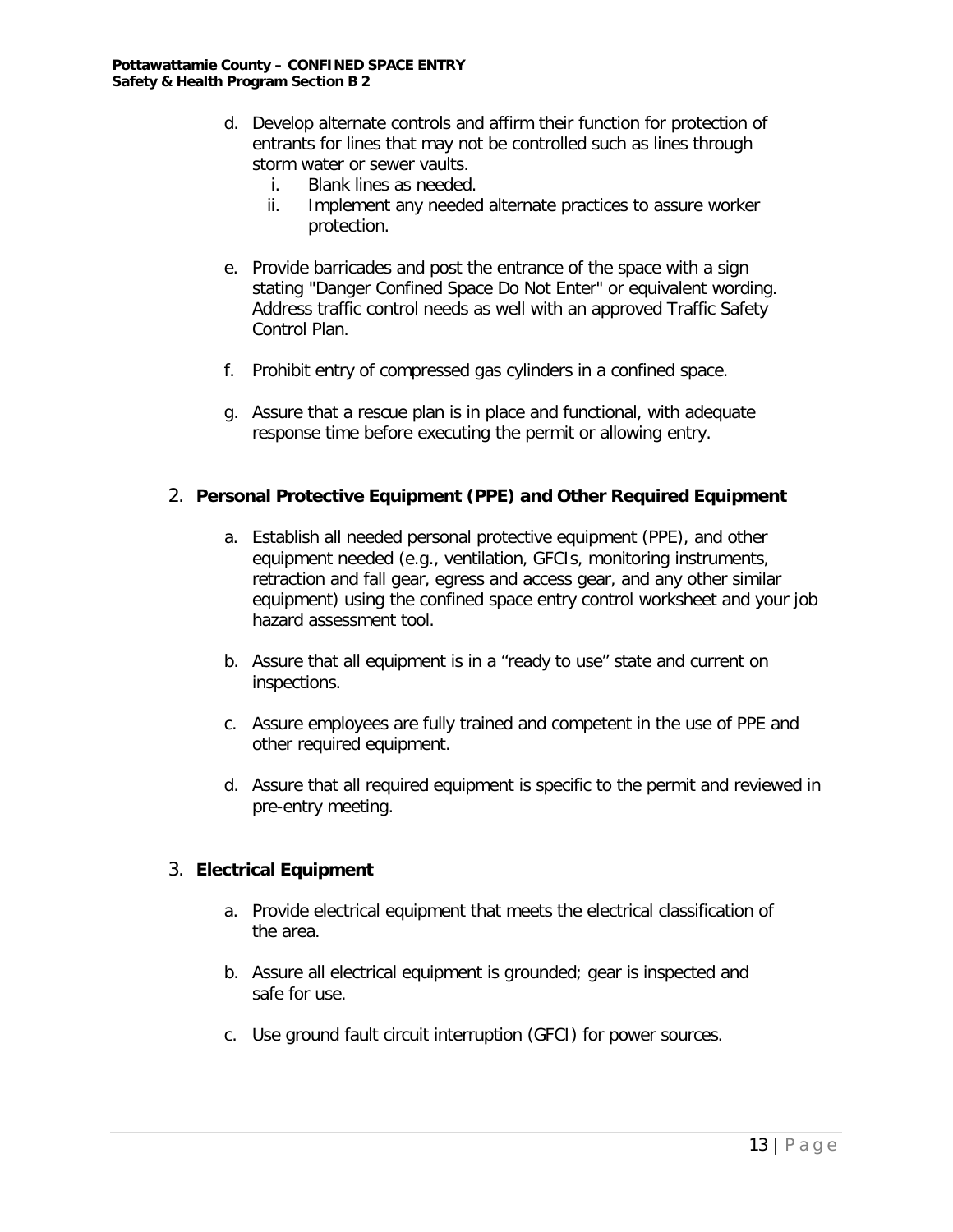- d. Develop alternate controls and affirm their function for protection of entrants for lines that may not be controlled such as lines through storm water or sewer vaults.
	-
	- i. Blank lines as needed.<br>ii. Implement anv needed Implement any needed alternate practices to assure worker protection.
- e. Provide barricades and post the entrance of the space with a sign stating "Danger Confined Space Do Not Enter" or equivalent wording. Address traffic control needs as well with an approved Traffic Safety Control Plan.
- f. Prohibit entry of compressed gas cylinders in a confined space.
- g. Assure that a rescue plan is in place and functional, with adequate response time before executing the permit or allowing entry.

#### 2. **Personal Protective Equipment (PPE) and Other Required Equipment**

- a. Establish all needed personal protective equipment (PPE), and other equipment needed (e.g., ventilation, GFCIs, monitoring instruments, retraction and fall gear, egress and access gear, and any other similar equipment) using the confined space entry control worksheet and your job hazard assessment tool.
- b. Assure that all equipment is in a "ready to use" state and current on inspections.
- c. Assure employees are fully trained and competent in the use of PPE and other required equipment.
- d. Assure that all required equipment is specific to the permit and reviewed in pre-entry meeting.

#### 3. **Electrical Equipment**

- a. Provide electrical equipment that meets the electrical classification of the area.
- b. Assure all electrical equipment is grounded; gear is inspected and safe for use.
- c. Use ground fault circuit interruption (GFCI) for power sources.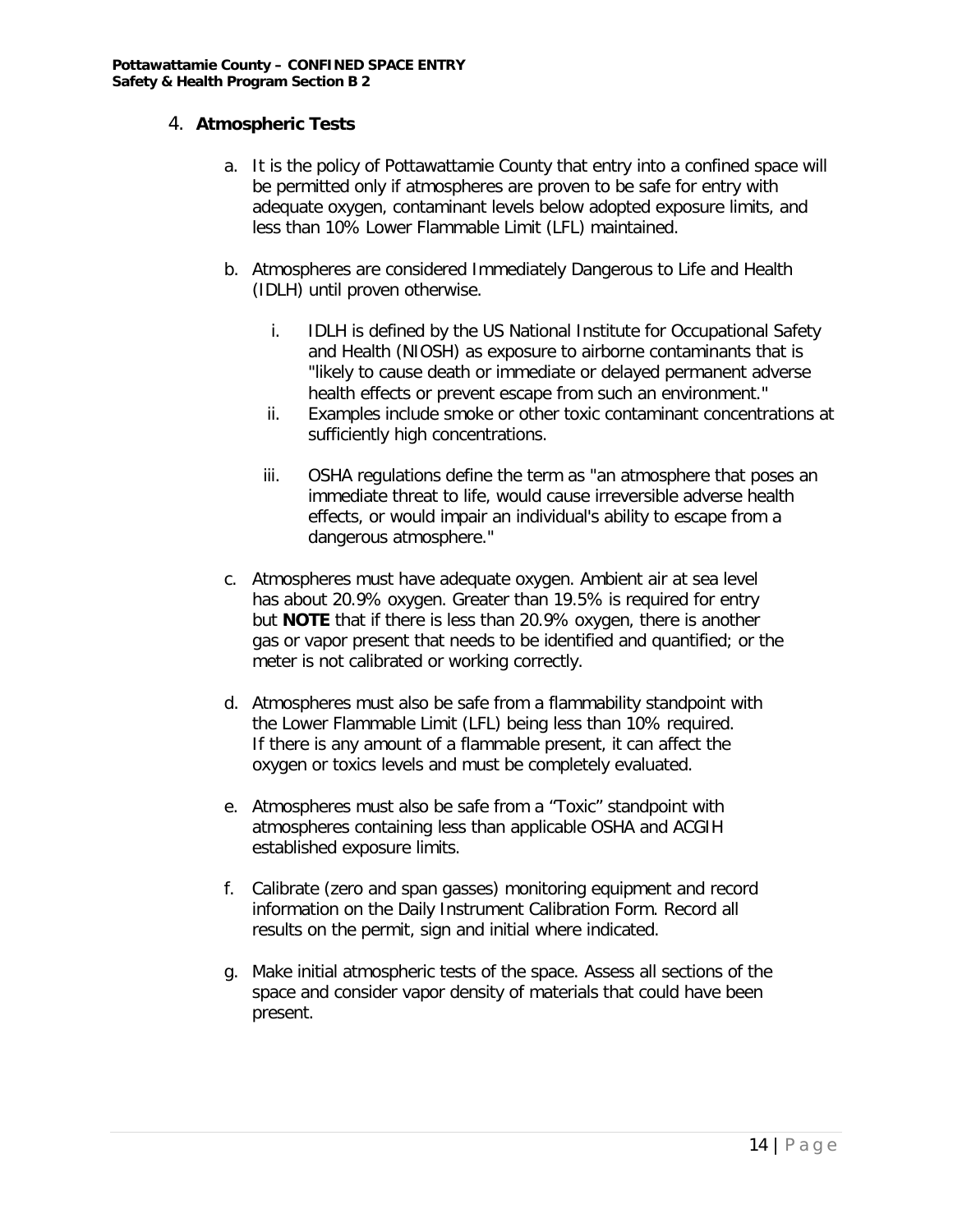#### 4. **Atmospheric Tests**

- a. It is the policy of Pottawattamie County that entry into a confined space will be permitted only if atmospheres are proven to be safe for entry with adequate oxygen, contaminant levels below adopted exposure limits, and less than 10% Lower Flammable Limit (LFL) maintained.
- b. Atmospheres are considered Immediately Dangerous to Life and Health (IDLH) until proven otherwise.
	- i. IDLH is defined by the US National Institute for Occupational Safety and Health (NIOSH) as exposure to airborne contaminants that is "likely to cause death or immediate or delayed permanent adverse health effects or prevent escape from such an environment."
	- ii. Examples include smoke or other toxic contaminant concentrations at sufficiently high concentrations.
	- iii. OSHA regulations define the term as "an atmosphere that poses an immediate threat to life, would cause irreversible adverse health effects, or would impair an individual's ability to escape from a dangerous atmosphere."
- c. Atmospheres must have adequate oxygen. Ambient air at sea level has about 20.9% oxygen. Greater than 19.5% is required for entry but **NOTE** that if there is less than 20.9% oxygen, there is another gas or vapor present that needs to be identified and quantified; or the meter is not calibrated or working correctly.
- d. Atmospheres must also be safe from a flammability standpoint with the Lower Flammable Limit (LFL) being less than 10% required. If there is any amount of a flammable present, it can affect the oxygen or toxics levels and must be completely evaluated.
- e. Atmospheres must also be safe from a "Toxic" standpoint with atmospheres containing less than applicable OSHA and ACGIH established exposure limits.
- f. Calibrate (zero and span gasses) monitoring equipment and record information on the Daily Instrument Calibration Form. Record all results on the permit, sign and initial where indicated.
- g. Make initial atmospheric tests of the space. Assess all sections of the space and consider vapor density of materials that could have been present.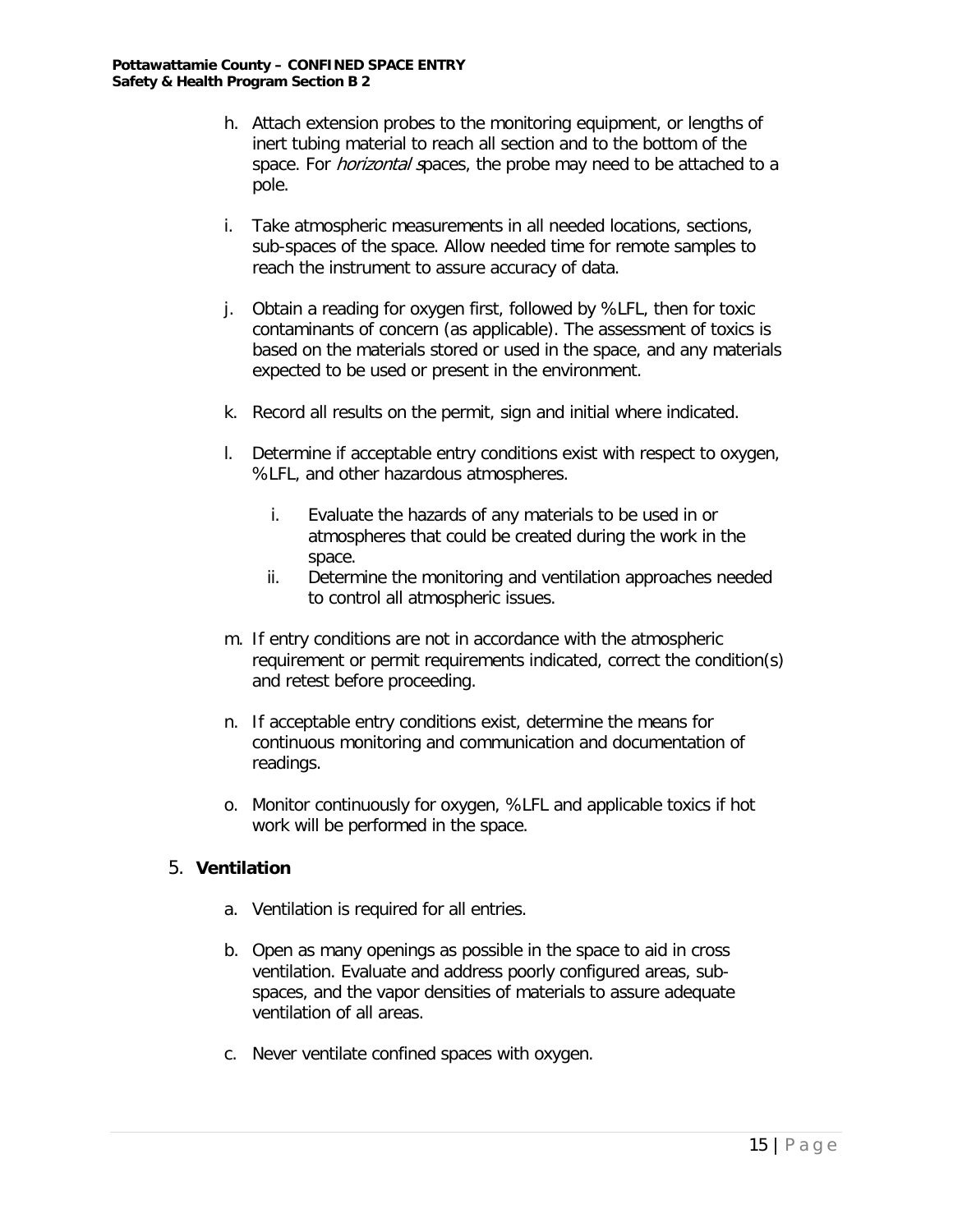- h. Attach extension probes to the monitoring equipment, or lengths of inert tubing material to reach all section and to the bottom of the space. For *horizontal s*paces, the probe may need to be attached to a pole.
- i. Take atmospheric measurements in all needed locations, sections, sub-spaces of the space. Allow needed time for remote samples to reach the instrument to assure accuracy of data.
- j. Obtain a reading for oxygen first, followed by %LFL, then for toxic contaminants of concern (as applicable). The assessment of toxics is based on the materials stored or used in the space, and any materials expected to be used or present in the environment.
- k. Record all results on the permit, sign and initial where indicated.
- l. Determine if acceptable entry conditions exist with respect to oxygen, %LFL, and other hazardous atmospheres.
	- i. Evaluate the hazards of any materials to be used in or atmospheres that could be created during the work in the space.
	- ii. Determine the monitoring and ventilation approaches needed to control all atmospheric issues.
- m. If entry conditions are not in accordance with the atmospheric requirement or permit requirements indicated, correct the condition(s) and retest before proceeding.
- n. If acceptable entry conditions exist, determine the means for continuous monitoring and communication and documentation of readings.
- o. Monitor continuously for oxygen, %LFL and applicable toxics if hot work will be performed in the space.

#### 5. **Ventilation**

- a. Ventilation is required for all entries.
- b. Open as many openings as possible in the space to aid in cross ventilation. Evaluate and address poorly configured areas, subspaces, and the vapor densities of materials to assure adequate ventilation of all areas.
- c. Never ventilate confined spaces with oxygen.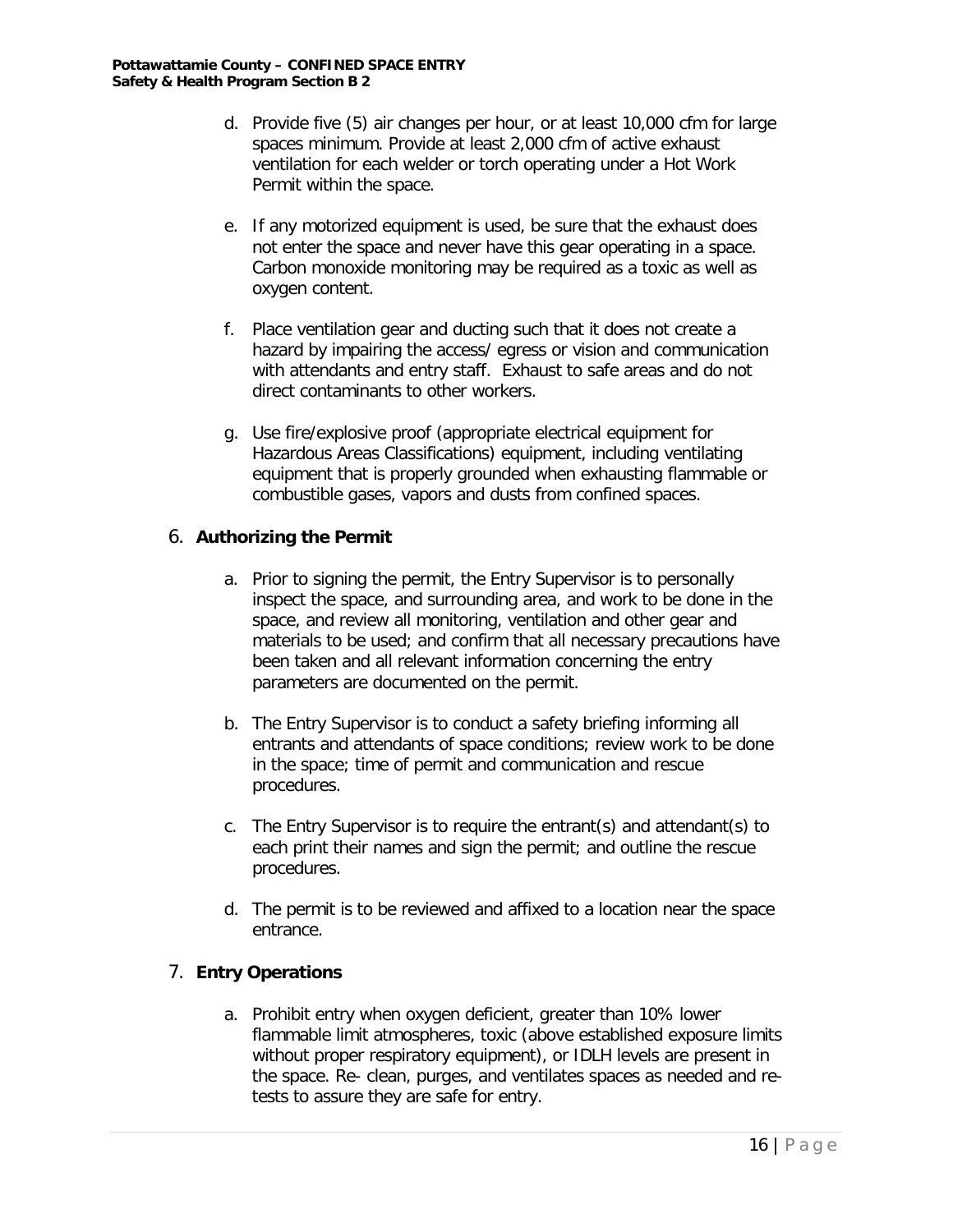- d. Provide five (5) air changes per hour, or at least 10,000 cfm for large spaces minimum. Provide at least 2,000 cfm of active exhaust ventilation for each welder or torch operating under a Hot Work Permit within the space.
- e. If any motorized equipment is used, be sure that the exhaust does not enter the space and never have this gear operating in a space. Carbon monoxide monitoring may be required as a toxic as well as oxygen content.
- f. Place ventilation gear and ducting such that it does not create a hazard by impairing the access/ egress or vision and communication with attendants and entry staff. Exhaust to safe areas and do not direct contaminants to other workers.
- g. Use fire/explosive proof (appropriate electrical equipment for Hazardous Areas Classifications) equipment, including ventilating equipment that is properly grounded when exhausting flammable or combustible gases, vapors and dusts from confined spaces.

#### 6. **Authorizing the Permit**

- a. Prior to signing the permit, the Entry Supervisor is to personally inspect the space, and surrounding area, and work to be done in the space, and review all monitoring, ventilation and other gear and materials to be used; and confirm that all necessary precautions have been taken and all relevant information concerning the entry parameters are documented on the permit.
- b. The Entry Supervisor is to conduct a safety briefing informing all entrants and attendants of space conditions; review work to be done in the space; time of permit and communication and rescue procedures.
- c. The Entry Supervisor is to require the entrant(s) and attendant(s) to each print their names and sign the permit; and outline the rescue procedures.
- d. The permit is to be reviewed and affixed to a location near the space entrance.

#### 7. **Entry Operations**

a. Prohibit entry when oxygen deficient, greater than 10% lower flammable limit atmospheres, toxic (above established exposure limits without proper respiratory equipment), or IDLH levels are present in the space. Re- clean, purges, and ventilates spaces as needed and retests to assure they are safe for entry.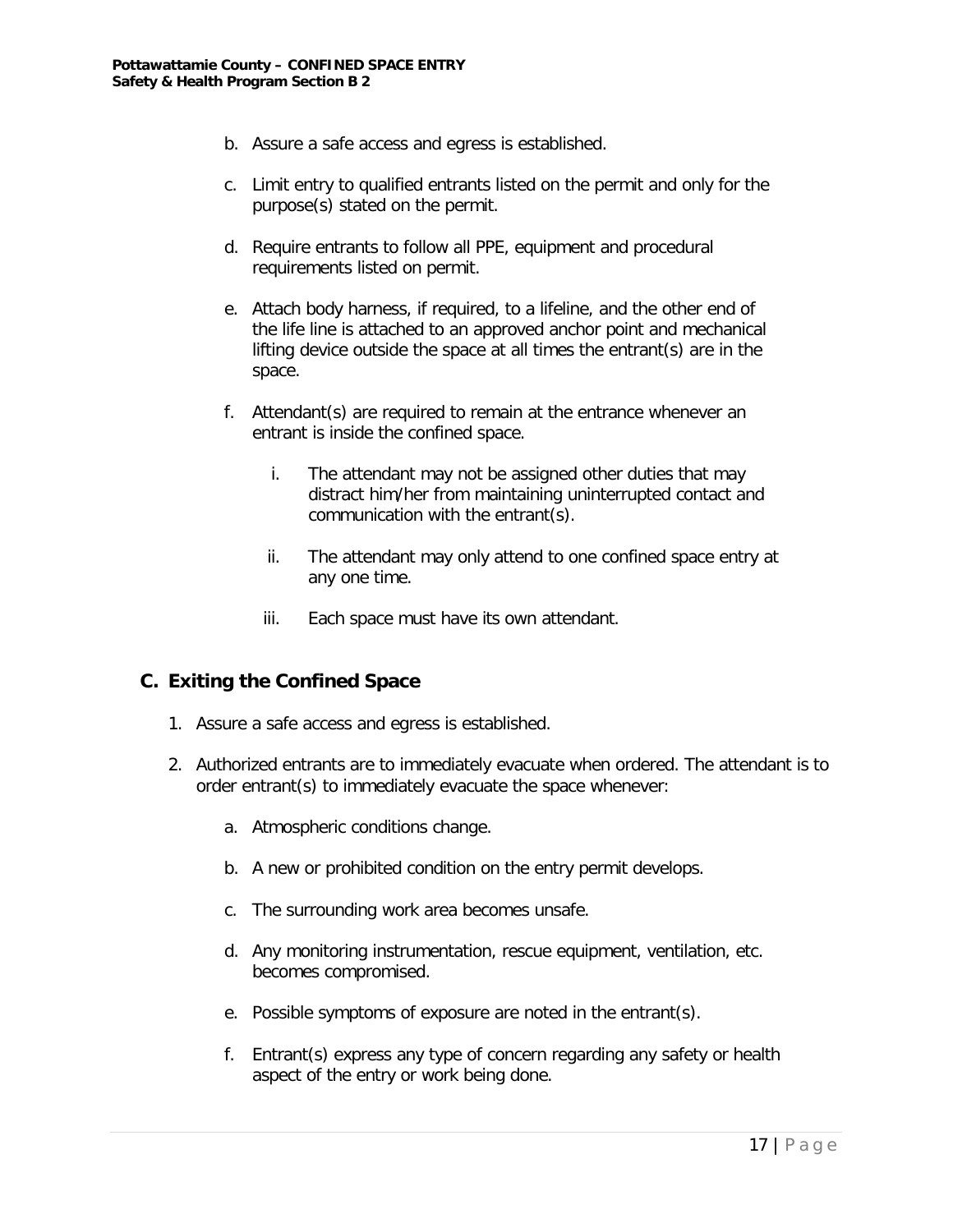- b. Assure a safe access and egress is established.
- c. Limit entry to qualified entrants listed on the permit and only for the purpose(s) stated on the permit.
- d. Require entrants to follow all PPE, equipment and procedural requirements listed on permit.
- e. Attach body harness, if required, to a lifeline, and the other end of the life line is attached to an approved anchor point and mechanical lifting device outside the space at all times the entrant(s) are in the space.
- f. Attendant(s) are required to remain at the entrance whenever an entrant is inside the confined space.
	- i. The attendant may not be assigned other duties that may distract him/her from maintaining uninterrupted contact and communication with the entrant(s).
	- ii. The attendant may only attend to one confined space entry at any one time.
	- iii. Each space must have its own attendant.

#### **C. Exiting the Confined Space**

- 1. Assure a safe access and egress is established.
- 2. Authorized entrants are to immediately evacuate when ordered. The attendant is to order entrant(s) to immediately evacuate the space whenever:
	- a. Atmospheric conditions change.
	- b. A new or prohibited condition on the entry permit develops.
	- c. The surrounding work area becomes unsafe.
	- d. Any monitoring instrumentation, rescue equipment, ventilation, etc. becomes compromised.
	- e. Possible symptoms of exposure are noted in the entrant(s).
	- f. Entrant(s) express any type of concern regarding any safety or health aspect of the entry or work being done.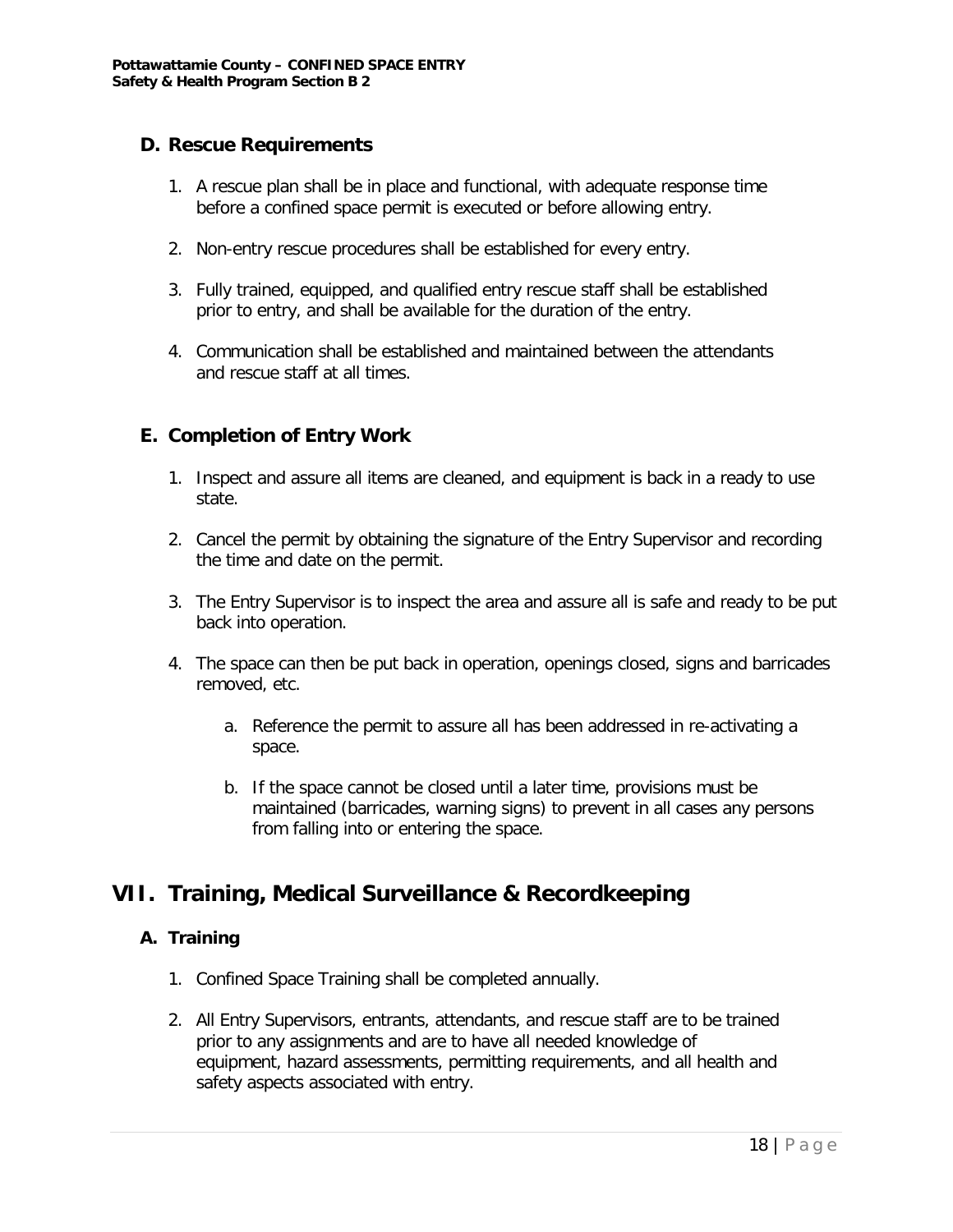#### **D. Rescue Requirements**

- 1. A rescue plan shall be in place and functional, with adequate response time before a confined space permit is executed or before allowing entry.
- 2. Non-entry rescue procedures shall be established for every entry.
- 3. Fully trained, equipped, and qualified entry rescue staff shall be established prior to entry, and shall be available for the duration of the entry.
- 4. Communication shall be established and maintained between the attendants and rescue staff at all times.

# **E. Completion of Entry Work**

- 1. Inspect and assure all items are cleaned, and equipment is back in a ready to use state.
- 2. Cancel the permit by obtaining the signature of the Entry Supervisor and recording the time and date on the permit.
- 3. The Entry Supervisor is to inspect the area and assure all is safe and ready to be put back into operation.
- 4. The space can then be put back in operation, openings closed, signs and barricades removed, etc.
	- a. Reference the permit to assure all has been addressed in re-activating a space.
	- b. If the space cannot be closed until a later time, provisions must be maintained (barricades, warning signs) to prevent in all cases any persons from falling into or entering the space.

# **VII. Training, Medical Surveillance & Recordkeeping**

#### **A. Training**

- 1. Confined Space Training shall be completed annually.
- 2. All Entry Supervisors, entrants, attendants, and rescue staff are to be trained prior to any assignments and are to have all needed knowledge of equipment, hazard assessments, permitting requirements, and all health and safety aspects associated with entry.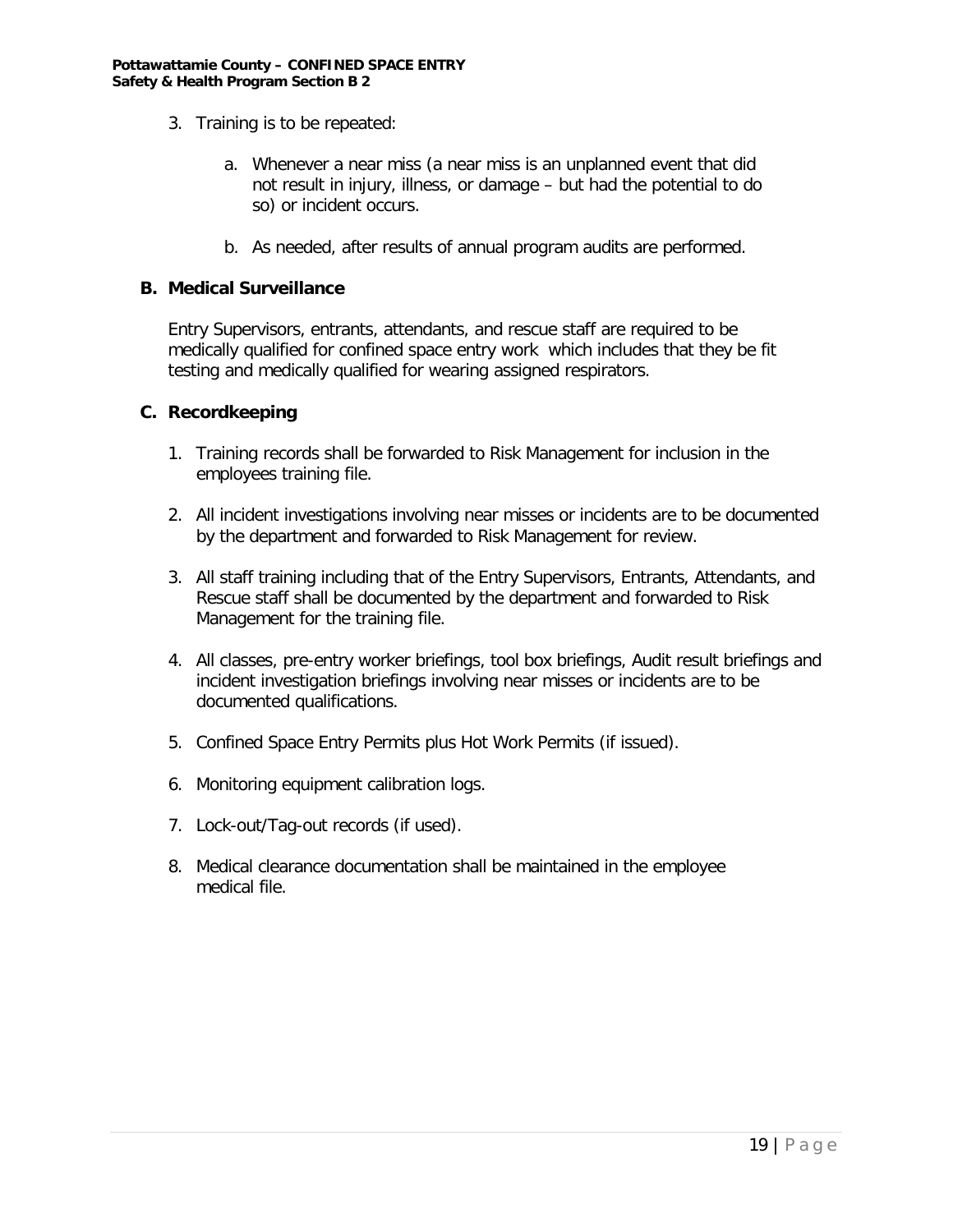- 3. Training is to be repeated:
	- a. Whenever a near miss (a near miss is an unplanned event that did not result in injury, illness, or damage – but had the potential to do so) or incident occurs.
	- b. As needed, after results of annual program audits are performed.

#### **B. Medical Surveillance**

Entry Supervisors, entrants, attendants, and rescue staff are required to be medically qualified for confined space entry work which includes that they be fit testing and medically qualified for wearing assigned respirators.

#### **C. Recordkeeping**

- 1. Training records shall be forwarded to Risk Management for inclusion in the employees training file.
- 2. All incident investigations involving near misses or incidents are to be documented by the department and forwarded to Risk Management for review.
- 3. All staff training including that of the Entry Supervisors, Entrants, Attendants, and Rescue staff shall be documented by the department and forwarded to Risk Management for the training file.
- 4. All classes, pre-entry worker briefings, tool box briefings, Audit result briefings and incident investigation briefings involving near misses or incidents are to be documented qualifications.
- 5. Confined Space Entry Permits plus Hot Work Permits (if issued).
- 6. Monitoring equipment calibration logs.
- 7. Lock-out/Tag-out records (if used).
- 8. Medical clearance documentation shall be maintained in the employee medical file.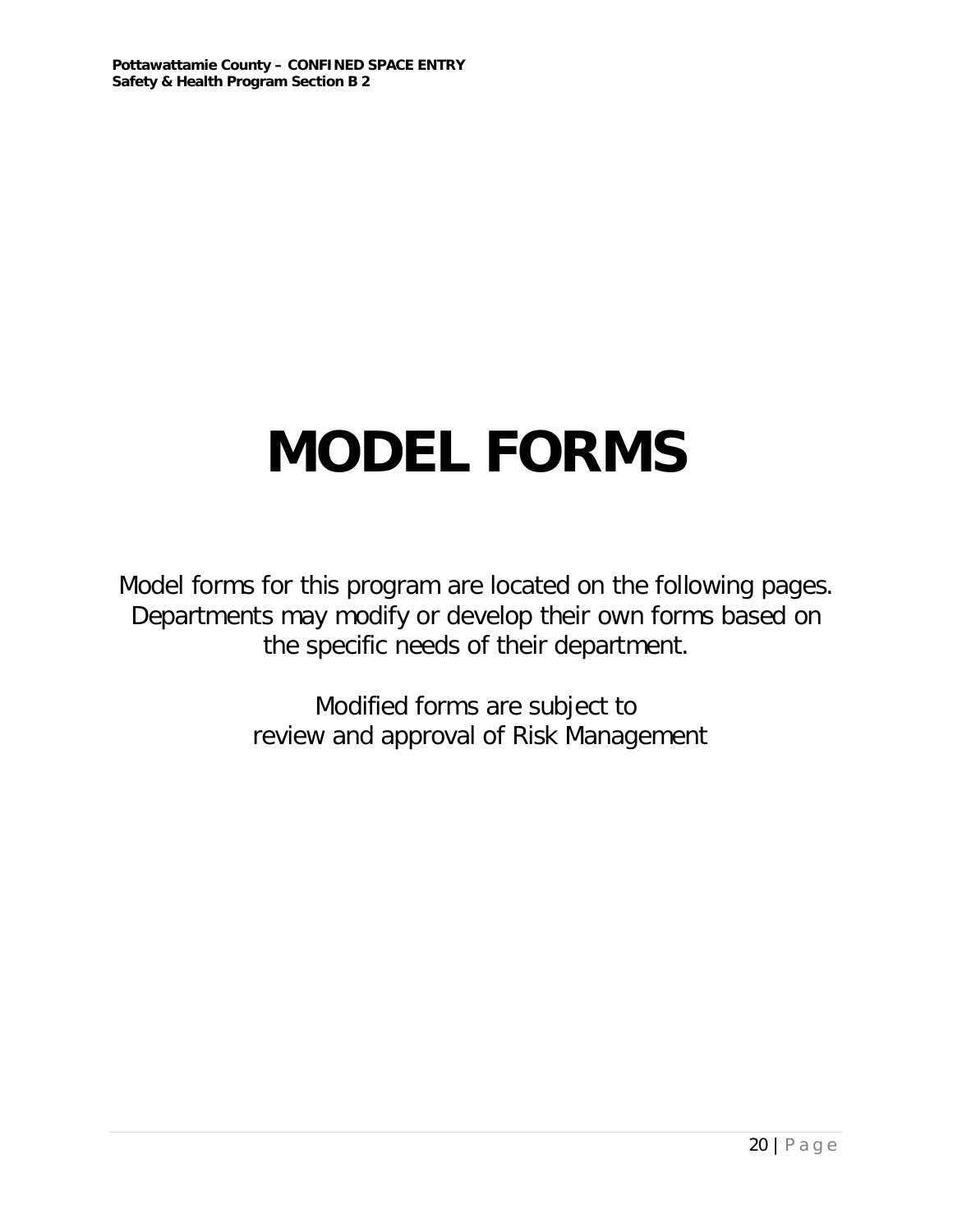# **MODEL FORMS**

Model forms for this program are located on the following pages. Departments may modify or develop their own forms based on the specific needs of their department.

> Modified forms are subject to review and approval of Risk Management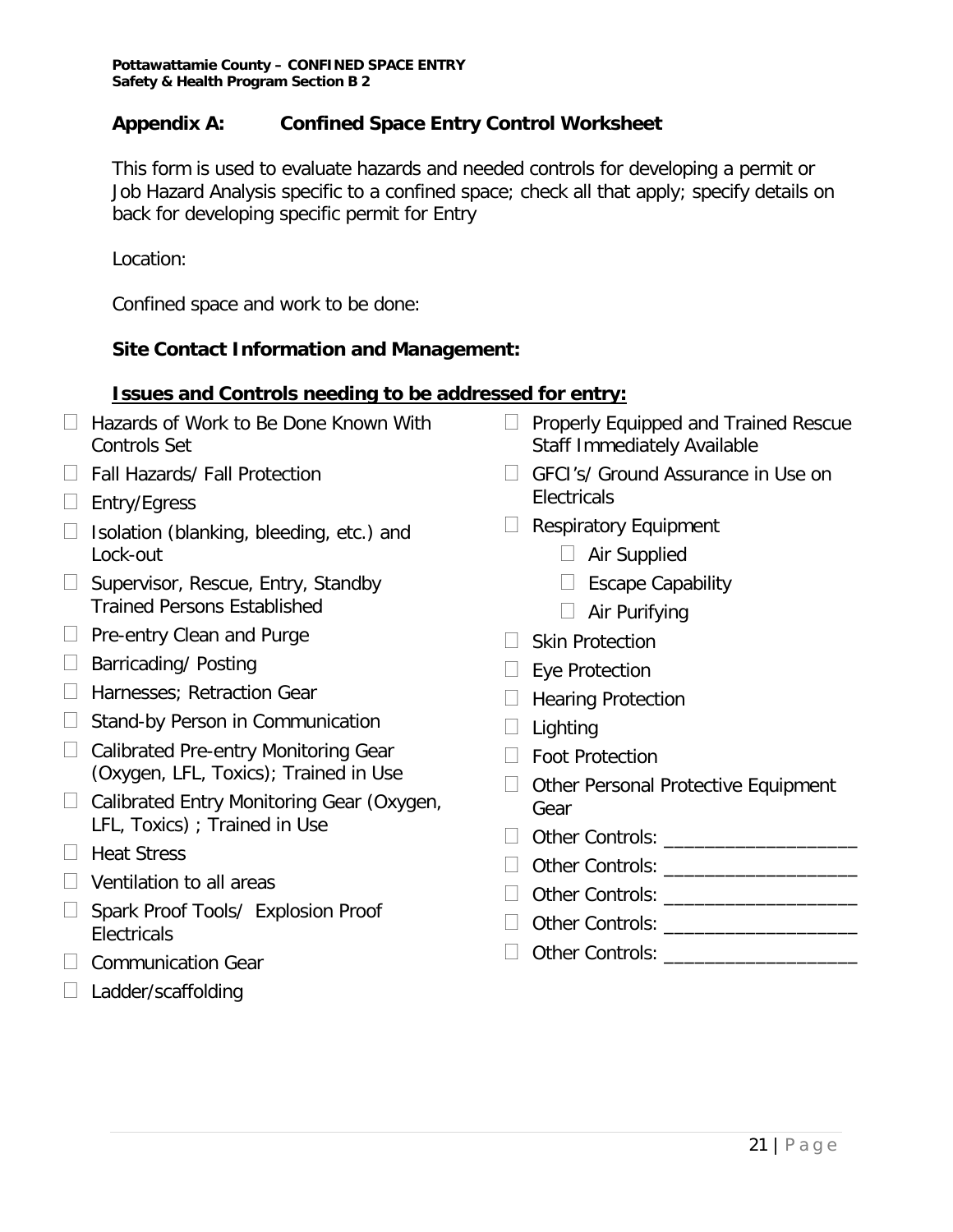## **Appendix A: Confined Space Entry Control Worksheet**

This form is used to evaluate hazards and needed controls for developing a permit or Job Hazard Analysis specific to a confined space; check all that apply; specify details on back for developing specific permit for Entry

Location:

Confined space and work to be done:

# **Site Contact Information and Management:**

### **Issues and Controls needing to be addressed for entry:**

- □ Hazards of Work to Be Done Known With Controls Set
- □ Fall Hazards/ Fall Protection
- $\Box$  Entry/Egress
- $\Box$  Isolation (blanking, bleeding, etc.) and Lock-out
- $\Box$  Supervisor, Rescue, Entry, Standby Trained Persons Established
- $\Box$  Pre-entry Clean and Purge
- $\Box$  Barricading/ Posting
- □ Harnesses; Retraction Gear
- $\Box$  Stand-by Person in Communication
- $\Box$  Calibrated Pre-entry Monitoring Gear (Oxygen, LFL, Toxics); Trained in Use
- $\Box$  Calibrated Entry Monitoring Gear (Oxygen, LFL, Toxics) ; Trained in Use
- $\Box$  Heat Stress
- $\Box$  Ventilation to all areas
- $\Box$  Spark Proof Tools/ Explosion Proof **Electricals**
- $\Box$  Communication Gear
- $\Box$  Ladder/scaffolding
- $\Box$  Properly Equipped and Trained Rescue Staff Immediately Available
- □ GFCI's/ Ground Assurance in Use on **Electricals**
- $\Box$  Respiratory Equipment
	- □ Air Supplied
	- $\Box$  Escape Capability
	- $\Box$  Air Purifying
- $\Box$  Skin Protection
- $\Box$  Eye Protection
- $\Box$  Hearing Protection
- $\Box$  Lighting
- □ Foot Protection
- $\Box$  Other Personal Protective Equipment Gear
- □ Other Controls:
- D Other Controls: **We are also controlled as a set of the set of the set of the set of the set of the set of the set of the set of the set of the set of the set of the set of the set of the set of the set of the set of the**
- Other Controls: \_\_\_\_\_\_\_\_\_\_\_\_\_\_\_\_\_\_\_
- Other Controls: \_\_\_\_\_\_\_\_\_\_\_\_\_\_\_\_\_\_\_

## □ Other Controls: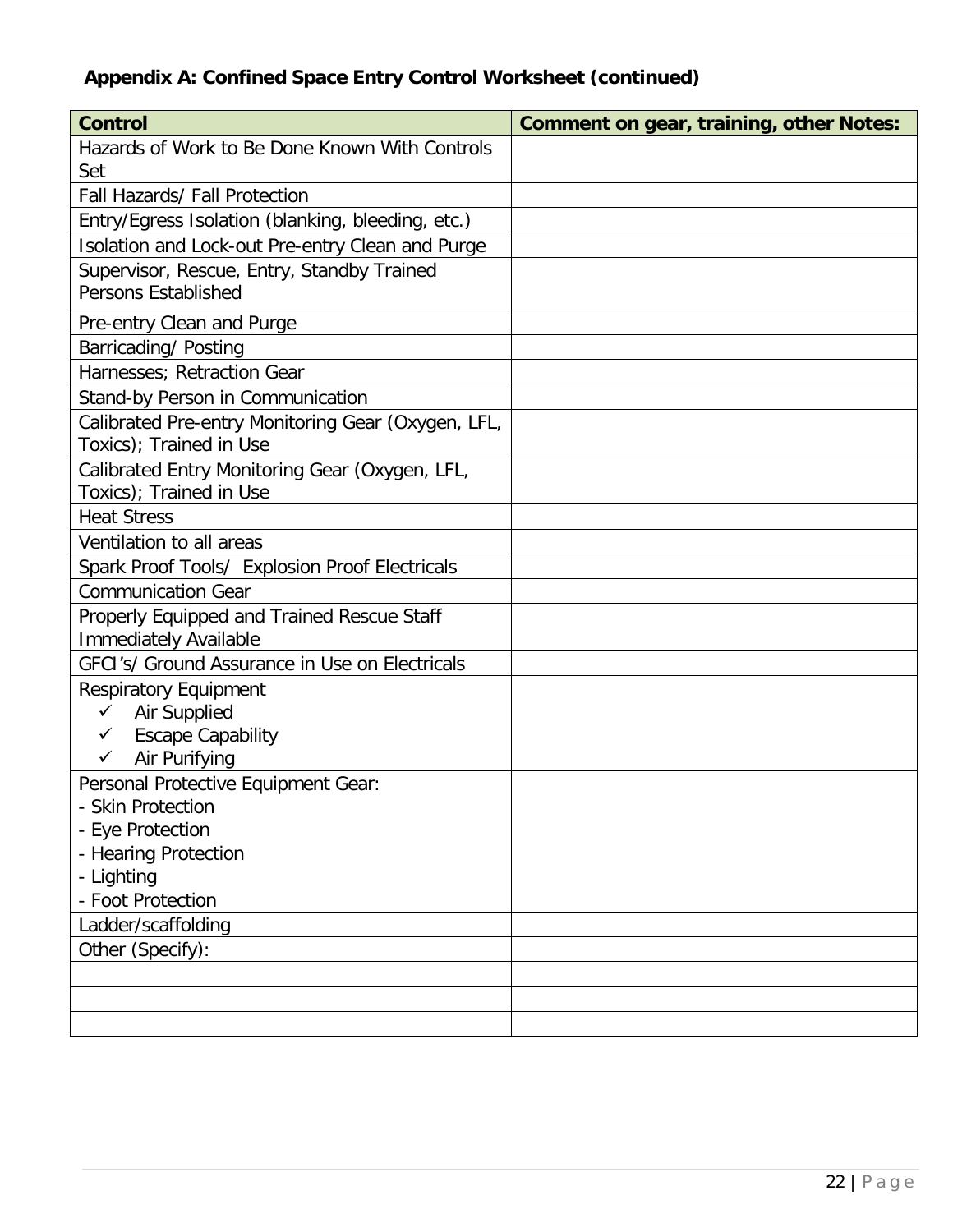# **Appendix A: Confined Space Entry Control Worksheet (continued)**

| <b>Control</b>                                                                                                                                                                                                                                                                                                                                                                                                                                | <b>Comment on gear, training, other Notes:</b> |
|-----------------------------------------------------------------------------------------------------------------------------------------------------------------------------------------------------------------------------------------------------------------------------------------------------------------------------------------------------------------------------------------------------------------------------------------------|------------------------------------------------|
| Hazards of Work to Be Done Known With Controls                                                                                                                                                                                                                                                                                                                                                                                                |                                                |
| Set                                                                                                                                                                                                                                                                                                                                                                                                                                           |                                                |
| Fall Hazards/ Fall Protection                                                                                                                                                                                                                                                                                                                                                                                                                 |                                                |
| Entry/Egress Isolation (blanking, bleeding, etc.)                                                                                                                                                                                                                                                                                                                                                                                             |                                                |
| Isolation and Lock-out Pre-entry Clean and Purge                                                                                                                                                                                                                                                                                                                                                                                              |                                                |
| Supervisor, Rescue, Entry, Standby Trained                                                                                                                                                                                                                                                                                                                                                                                                    |                                                |
| <b>Persons Established</b>                                                                                                                                                                                                                                                                                                                                                                                                                    |                                                |
| Pre-entry Clean and Purge                                                                                                                                                                                                                                                                                                                                                                                                                     |                                                |
| Barricading/ Posting                                                                                                                                                                                                                                                                                                                                                                                                                          |                                                |
| Harnesses; Retraction Gear                                                                                                                                                                                                                                                                                                                                                                                                                    |                                                |
| Stand-by Person in Communication                                                                                                                                                                                                                                                                                                                                                                                                              |                                                |
| Calibrated Pre-entry Monitoring Gear (Oxygen, LFL,                                                                                                                                                                                                                                                                                                                                                                                            |                                                |
| Toxics); Trained in Use                                                                                                                                                                                                                                                                                                                                                                                                                       |                                                |
|                                                                                                                                                                                                                                                                                                                                                                                                                                               |                                                |
|                                                                                                                                                                                                                                                                                                                                                                                                                                               |                                                |
|                                                                                                                                                                                                                                                                                                                                                                                                                                               |                                                |
| Ventilation to all areas                                                                                                                                                                                                                                                                                                                                                                                                                      |                                                |
| Spark Proof Tools/ Explosion Proof Electricals                                                                                                                                                                                                                                                                                                                                                                                                |                                                |
| <b>Communication Gear</b>                                                                                                                                                                                                                                                                                                                                                                                                                     |                                                |
| Properly Equipped and Trained Rescue Staff                                                                                                                                                                                                                                                                                                                                                                                                    |                                                |
|                                                                                                                                                                                                                                                                                                                                                                                                                                               |                                                |
|                                                                                                                                                                                                                                                                                                                                                                                                                                               |                                                |
| <b>Respiratory Equipment</b>                                                                                                                                                                                                                                                                                                                                                                                                                  |                                                |
| ✓                                                                                                                                                                                                                                                                                                                                                                                                                                             |                                                |
|                                                                                                                                                                                                                                                                                                                                                                                                                                               |                                                |
|                                                                                                                                                                                                                                                                                                                                                                                                                                               |                                                |
|                                                                                                                                                                                                                                                                                                                                                                                                                                               |                                                |
|                                                                                                                                                                                                                                                                                                                                                                                                                                               |                                                |
|                                                                                                                                                                                                                                                                                                                                                                                                                                               |                                                |
|                                                                                                                                                                                                                                                                                                                                                                                                                                               |                                                |
|                                                                                                                                                                                                                                                                                                                                                                                                                                               |                                                |
|                                                                                                                                                                                                                                                                                                                                                                                                                                               |                                                |
|                                                                                                                                                                                                                                                                                                                                                                                                                                               |                                                |
|                                                                                                                                                                                                                                                                                                                                                                                                                                               |                                                |
|                                                                                                                                                                                                                                                                                                                                                                                                                                               |                                                |
|                                                                                                                                                                                                                                                                                                                                                                                                                                               |                                                |
| Calibrated Entry Monitoring Gear (Oxygen, LFL,<br>Toxics); Trained in Use<br><b>Heat Stress</b><br><b>Immediately Available</b><br>GFCI's/ Ground Assurance in Use on Electricals<br>Air Supplied<br><b>Escape Capability</b><br>Air Purifying<br>✓<br>Personal Protective Equipment Gear:<br><b>Skin Protection</b><br>- Eye Protection<br>- Hearing Protection<br>- Lighting<br>- Foot Protection<br>Ladder/scaffolding<br>Other (Specify): |                                                |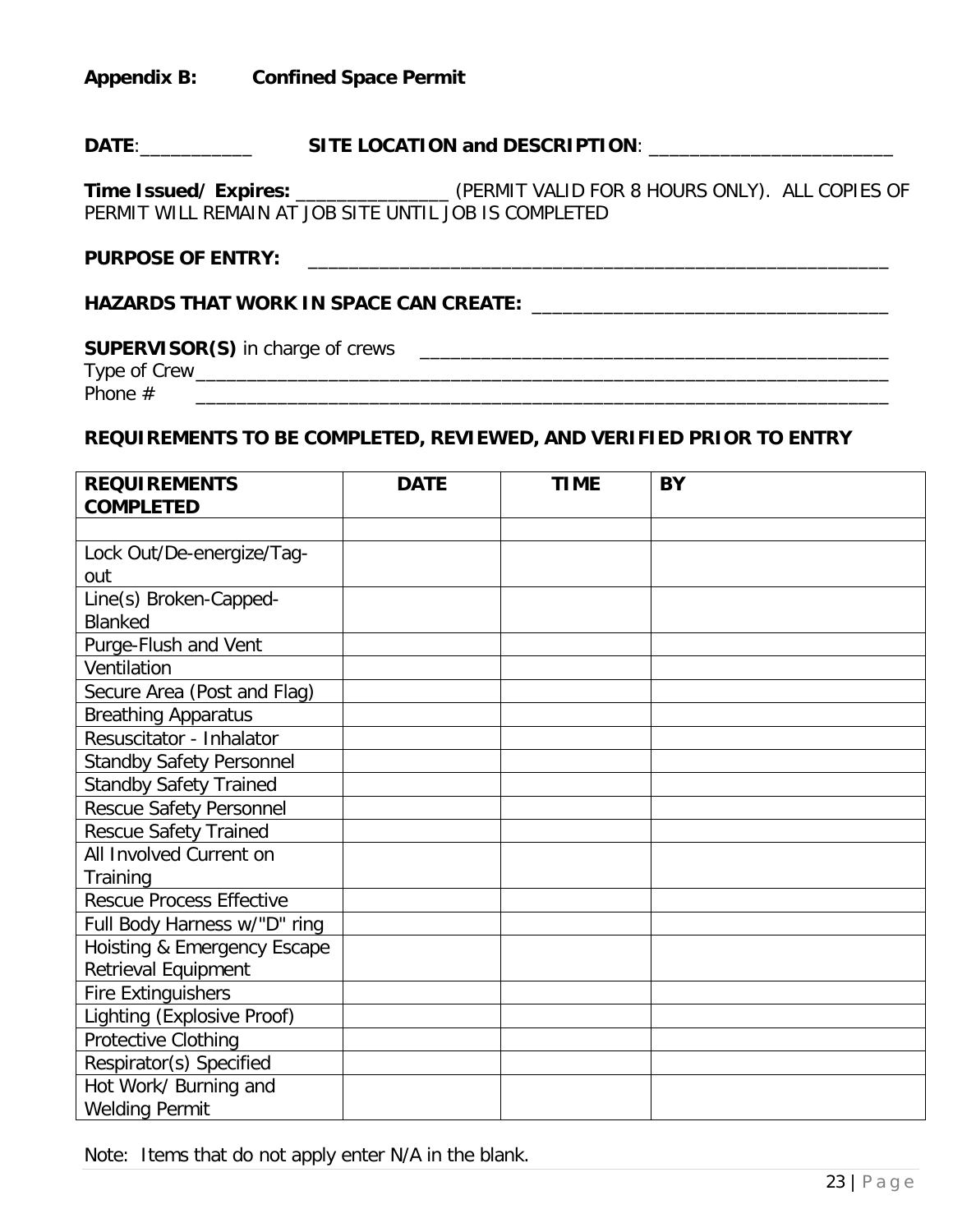**Appendix B: Confined Space Permit** 

# **DATE**:\_\_\_\_\_\_\_\_\_\_\_ **SITE LOCATION and DESCRIPTION**: \_\_\_\_\_\_\_\_\_\_\_\_\_\_\_\_\_\_\_\_\_\_\_\_

**Time Issued/ Expires:** \_\_\_\_\_\_\_\_\_\_\_\_\_\_\_ (PERMIT VALID FOR 8 HOURS ONLY). ALL COPIES OF PERMIT WILL REMAIN AT JOB SITE UNTIL JOB IS COMPLETED

#### PURPOSE OF ENTRY:

## **HAZARDS THAT WORK IN SPACE CAN CREATE:** \_\_\_\_\_\_\_\_\_\_\_\_\_\_\_\_\_\_\_\_\_\_\_\_\_\_\_\_\_\_\_\_\_\_\_

# **SUPERVISOR(S)** in charge of crews \_\_\_\_\_\_\_\_\_\_\_\_\_\_\_\_\_\_\_\_\_\_\_\_\_\_\_\_\_\_\_\_\_\_\_\_\_\_\_\_\_\_\_\_\_\_

Type of Crew\_\_\_\_\_\_\_\_\_\_\_\_\_\_\_\_\_\_\_\_\_\_\_\_\_\_\_\_\_\_\_\_\_\_\_\_\_\_\_\_\_\_\_\_\_\_\_\_\_\_\_\_\_\_\_\_\_\_\_\_\_\_\_\_\_\_\_\_ Phone # \_\_\_\_\_\_\_\_\_\_\_\_\_\_\_\_\_\_\_\_\_\_\_\_\_\_\_\_\_\_\_\_\_\_\_\_\_\_\_\_\_\_\_\_\_\_\_\_\_\_\_\_\_\_\_\_\_\_\_\_\_\_\_\_\_\_\_\_

#### **REQUIREMENTS TO BE COMPLETED, REVIEWED, AND VERIFIED PRIOR TO ENTRY**

| <b>REQUIREMENTS</b>             | <b>DATE</b> | <b>TIME</b> | <b>BY</b> |
|---------------------------------|-------------|-------------|-----------|
| <b>COMPLETED</b>                |             |             |           |
|                                 |             |             |           |
| Lock Out/De-energize/Tag-       |             |             |           |
| out                             |             |             |           |
| Line(s) Broken-Capped-          |             |             |           |
| <b>Blanked</b>                  |             |             |           |
| Purge-Flush and Vent            |             |             |           |
| Ventilation                     |             |             |           |
| Secure Area (Post and Flag)     |             |             |           |
| <b>Breathing Apparatus</b>      |             |             |           |
| Resuscitator - Inhalator        |             |             |           |
| <b>Standby Safety Personnel</b> |             |             |           |
| <b>Standby Safety Trained</b>   |             |             |           |
| <b>Rescue Safety Personnel</b>  |             |             |           |
| <b>Rescue Safety Trained</b>    |             |             |           |
| All Involved Current on         |             |             |           |
| Training                        |             |             |           |
| <b>Rescue Process Effective</b> |             |             |           |
| Full Body Harness w/"D" ring    |             |             |           |
| Hoisting & Emergency Escape     |             |             |           |
| Retrieval Equipment             |             |             |           |
| <b>Fire Extinguishers</b>       |             |             |           |
| Lighting (Explosive Proof)      |             |             |           |
| Protective Clothing             |             |             |           |
| Respirator(s) Specified         |             |             |           |
| Hot Work/ Burning and           |             |             |           |
| <b>Welding Permit</b>           |             |             |           |

Note: Items that do not apply enter N/A in the blank.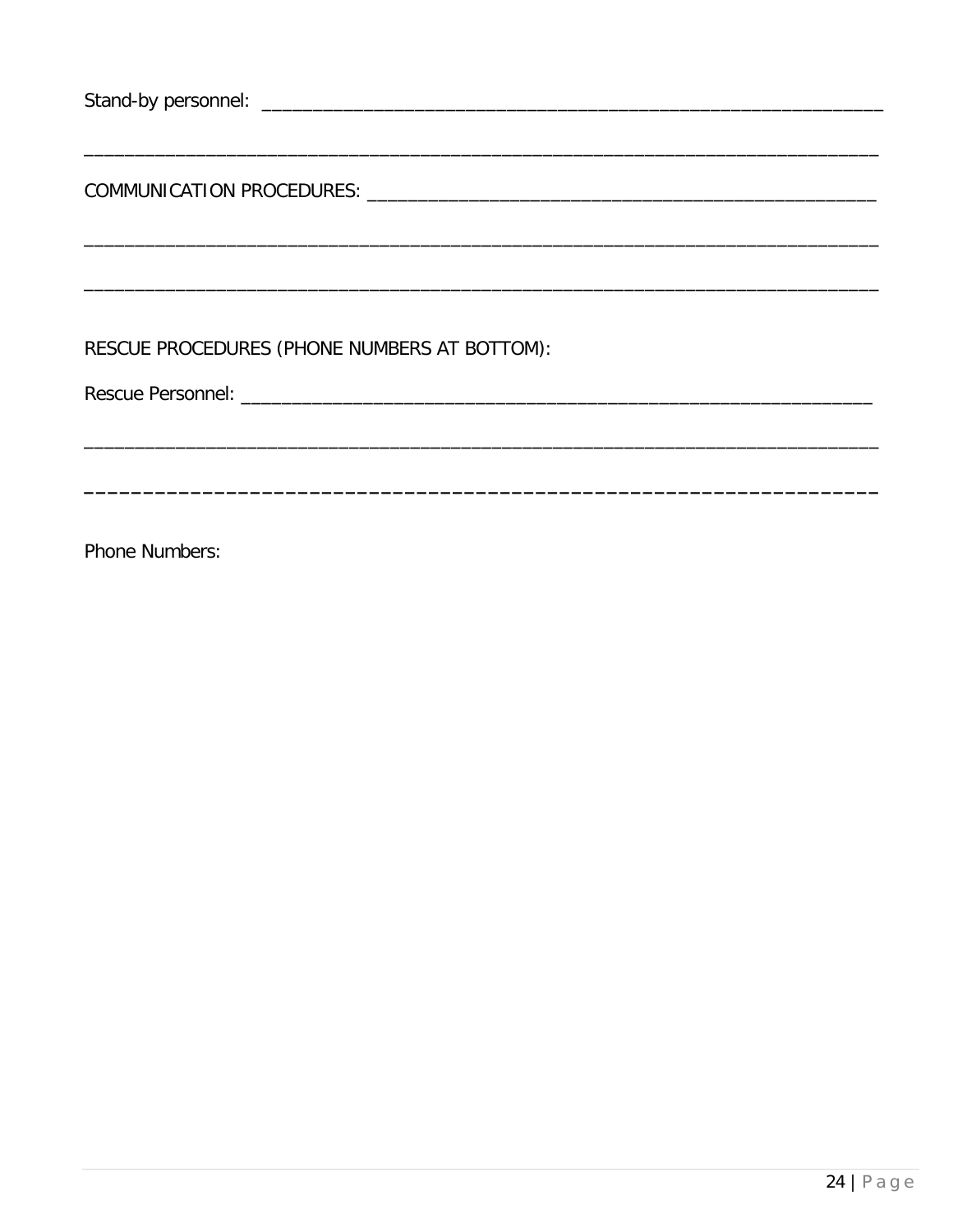| RESCUE PROCEDURES (PHONE NUMBERS AT BOTTOM): |  |  |
|----------------------------------------------|--|--|
|                                              |  |  |
|                                              |  |  |
|                                              |  |  |
|                                              |  |  |

Phone Numbers: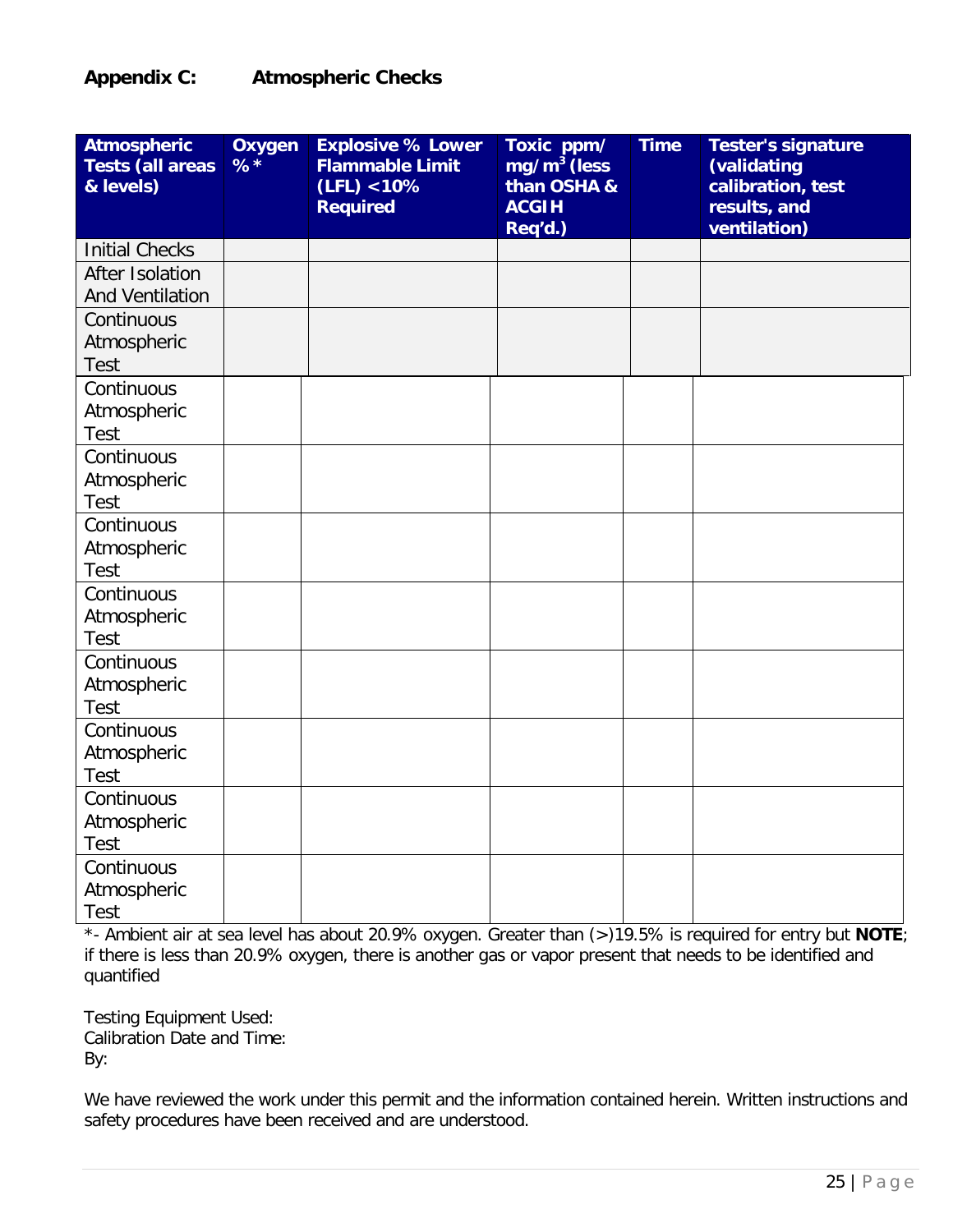## **Appendix C: Atmospheric Checks**

| <b>Atmospheric</b><br><b>Tests (all areas</b><br>& levels) | <b>Oxygen</b><br>$%$ * | <b>Explosive % Lower</b><br><b>Flammable Limit</b><br>(LFL) < 10%<br><b>Required</b> | Toxic ppm/<br>$mg/m3$ (less<br>than OSHA &<br><b>ACGIH</b><br>Req'd.) | <b>Time</b> | <b>Tester's signature</b><br>(validating<br>calibration, test<br>results, and<br>ventilation) |
|------------------------------------------------------------|------------------------|--------------------------------------------------------------------------------------|-----------------------------------------------------------------------|-------------|-----------------------------------------------------------------------------------------------|
| <b>Initial Checks</b>                                      |                        |                                                                                      |                                                                       |             |                                                                                               |
| After Isolation                                            |                        |                                                                                      |                                                                       |             |                                                                                               |
| <b>And Ventilation</b>                                     |                        |                                                                                      |                                                                       |             |                                                                                               |
| Continuous                                                 |                        |                                                                                      |                                                                       |             |                                                                                               |
| Atmospheric                                                |                        |                                                                                      |                                                                       |             |                                                                                               |
| <b>Test</b>                                                |                        |                                                                                      |                                                                       |             |                                                                                               |
| Continuous                                                 |                        |                                                                                      |                                                                       |             |                                                                                               |
| Atmospheric                                                |                        |                                                                                      |                                                                       |             |                                                                                               |
| <b>Test</b>                                                |                        |                                                                                      |                                                                       |             |                                                                                               |
| Continuous                                                 |                        |                                                                                      |                                                                       |             |                                                                                               |
| Atmospheric<br><b>Test</b>                                 |                        |                                                                                      |                                                                       |             |                                                                                               |
| Continuous                                                 |                        |                                                                                      |                                                                       |             |                                                                                               |
| Atmospheric                                                |                        |                                                                                      |                                                                       |             |                                                                                               |
| <b>Test</b>                                                |                        |                                                                                      |                                                                       |             |                                                                                               |
| Continuous                                                 |                        |                                                                                      |                                                                       |             |                                                                                               |
| Atmospheric                                                |                        |                                                                                      |                                                                       |             |                                                                                               |
| <b>Test</b>                                                |                        |                                                                                      |                                                                       |             |                                                                                               |
| Continuous                                                 |                        |                                                                                      |                                                                       |             |                                                                                               |
| Atmospheric                                                |                        |                                                                                      |                                                                       |             |                                                                                               |
| <b>Test</b>                                                |                        |                                                                                      |                                                                       |             |                                                                                               |
| Continuous                                                 |                        |                                                                                      |                                                                       |             |                                                                                               |
| Atmospheric                                                |                        |                                                                                      |                                                                       |             |                                                                                               |
| <b>Test</b>                                                |                        |                                                                                      |                                                                       |             |                                                                                               |
| Continuous                                                 |                        |                                                                                      |                                                                       |             |                                                                                               |
| Atmospheric                                                |                        |                                                                                      |                                                                       |             |                                                                                               |
| <b>Test</b>                                                |                        |                                                                                      |                                                                       |             |                                                                                               |
| Continuous                                                 |                        |                                                                                      |                                                                       |             |                                                                                               |
| Atmospheric                                                |                        |                                                                                      |                                                                       |             |                                                                                               |
| <b>Test</b>                                                |                        |                                                                                      |                                                                       |             |                                                                                               |

\*- Ambient air at sea level has about 20.9% oxygen. Greater than (>)19.5% is required for entry but **NOTE**; if there is less than 20.9% oxygen, there is another gas or vapor present that needs to be identified and quantified

Testing Equipment Used: Calibration Date and Time: By:

We have reviewed the work under this permit and the information contained herein. Written instructions and safety procedures have been received and are understood.